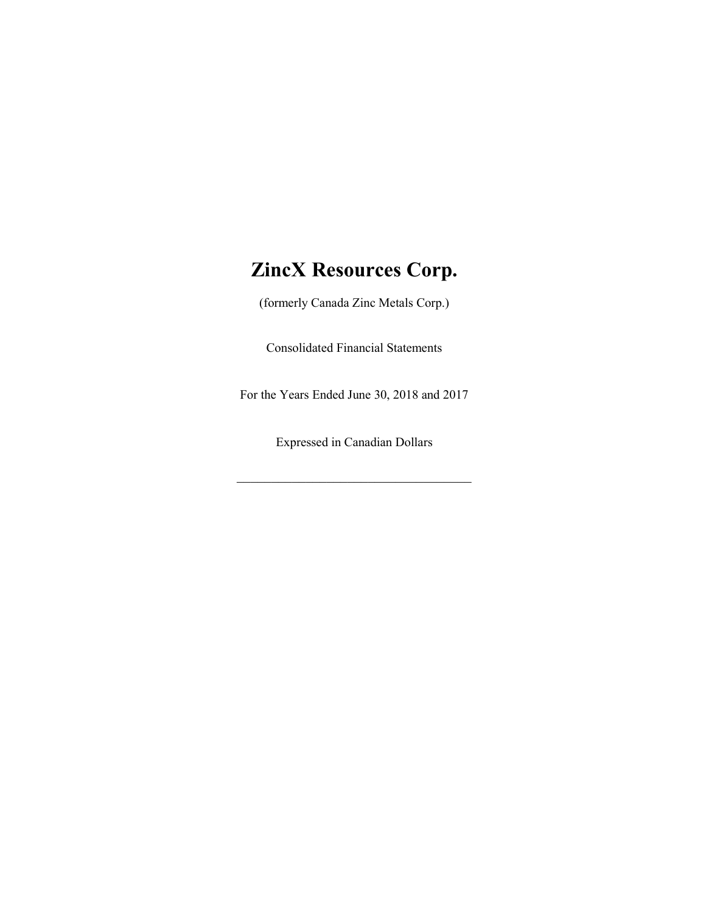# ZincX Resources Corp.

(formerly Canada Zinc Metals Corp.)

Consolidated Financial Statements

For the Years Ended June 30, 2018 and 2017

Expressed in Canadian Dollars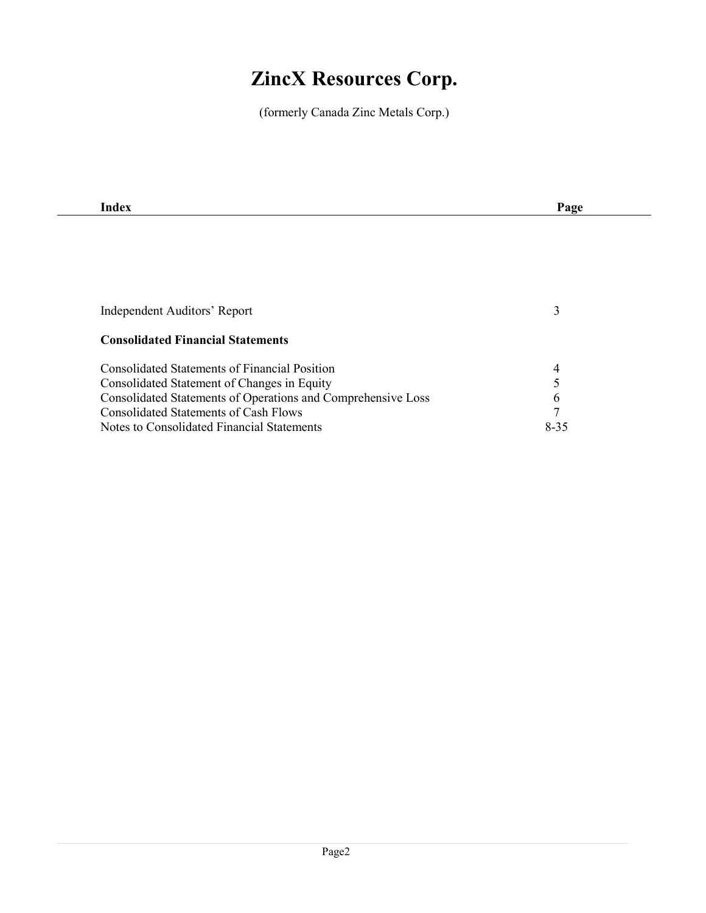# ZincX Resources Corp.

(formerly Canada Zinc Metals Corp.)

| Page          |
|---------------|
|               |
|               |
|               |
|               |
|               |
| 3             |
|               |
|               |
| 4             |
| 5             |
| $\mathfrak b$ |
| 7             |
| $8 - 35$      |
|               |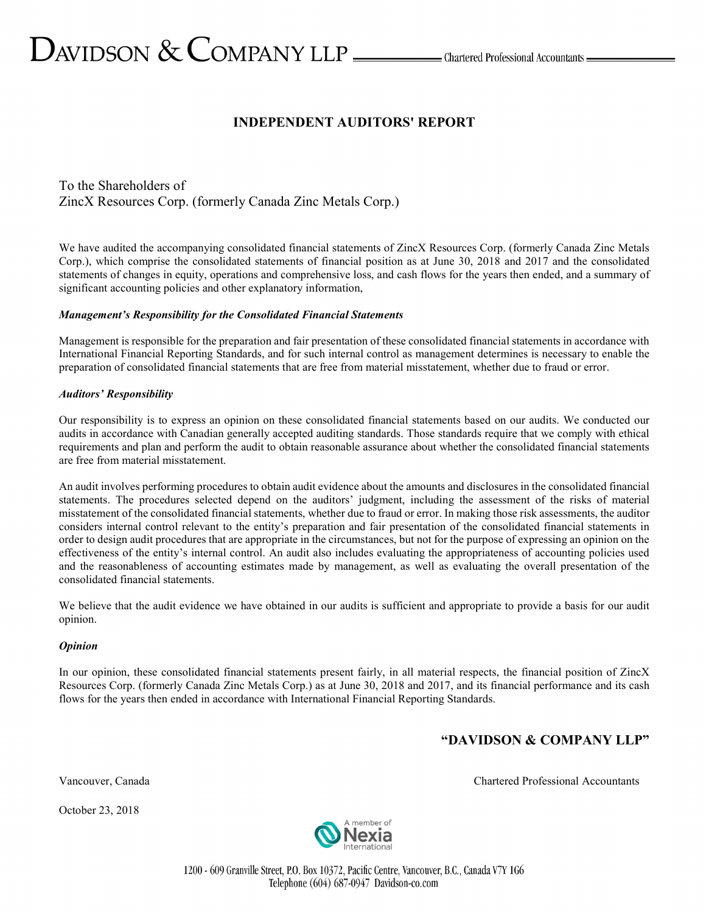# INDEPENDENT AUDITORS' REPORT

To the Shareholders of ZincX Resources Corp. (formerly Canada Zinc Metals Corp.)

We have audited the accompanying consolidated financial statements of ZincX Resources Corp. (formerly Canada Zinc Metals Corp.), which comprise the consolidated statements of financial position as at June 30, 2018 and 2017 and the consolidated statements of changes in equity, operations and comprehensive loss, and cash flows for the years then ended, and a summary of significant accounting policies and other explanatory information,

#### Management's Responsibility for the Consolidated Financial Statements

Management is responsible for the preparation and fair presentation of these consolidated financial statements in accordance with International Financial Reporting Standards, and for such internal control as management determines is necessary to enable the preparation of consolidated financial statements that are free from material misstatement, whether due to fraud or error.

#### Auditors' Responsibility

Our responsibility is to express an opinion on these consolidated financial statements based on our audits. We conducted our audits in accordance with Canadian generally accepted auditing standards. Those standards require that we comply with ethical requirements and plan and perform the audit to obtain reasonable assurance about whether the consolidated financial statements are free from material misstatement.

An audit involves performing procedures to obtain audit evidence about the amounts and disclosures in the consolidated financial statements. The procedures selected depend on the auditors' judgment, including the assessment of the risks of material misstatement of the consolidated financial statements, whether due to fraud or error. In making those risk assessments, the auditor considers internal control relevant to the entity's preparation and fair presentation of the consolidated financial statements in order to design audit procedures that are appropriate in the circumstances, but not for the purpose of expressing an opinion on the effectiveness of the entity's internal control. An audit also includes evaluating the appropriateness of accounting policies used and the reasonableness of accounting estimates made by management, as well as evaluating the overall presentation of the consolidated financial statements.

We believe that the audit evidence we have obtained in our audits is sufficient and appropriate to provide a basis for our audit opinion.

#### **Opinion**

In our opinion, these consolidated financial statements present fairly, in all material respects, the financial position of ZincX Resources Corp. (formerly Canada Zinc Metals Corp.) as at June 30, 2018 and 2017, and its financial performance and its cash flows for the years then ended in accordance with International Financial Reporting Standards.

# "DAVIDSON & COMPANY LLP"

October 23, 2018



1200 - 609 Granville Street, P.O. Box 10372, Pacific Centre, Vancouver, B.C., Canada V7Y 1G6 Telephone (604) 687-0947 Davidson-co.com

Vancouver, Canada Chartered Professional Accountants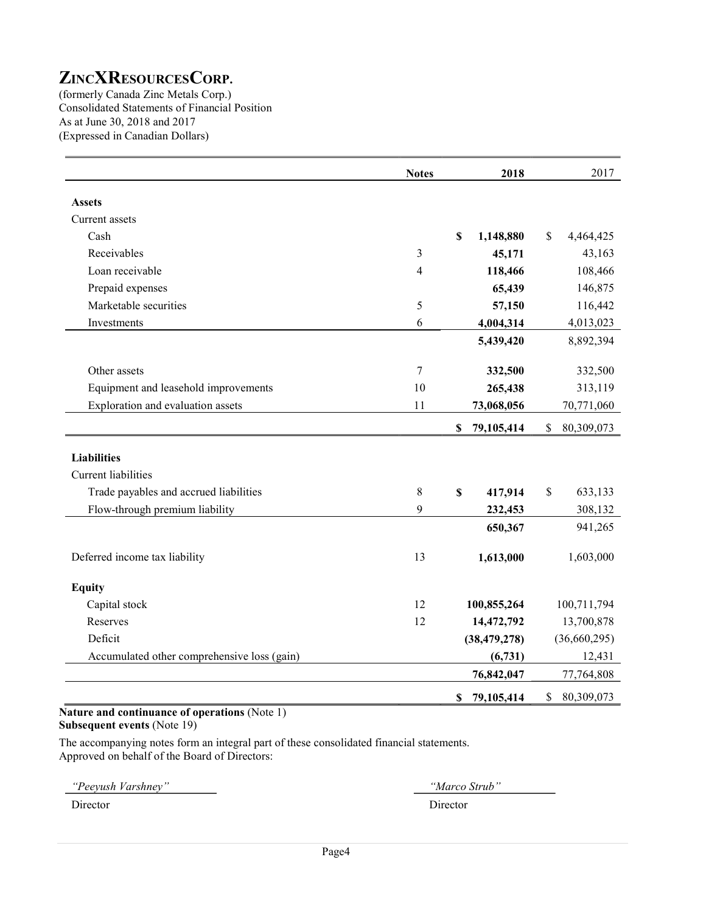(formerly Canada Zinc Metals Corp.) Consolidated Statements of Financial Position As at June 30, 2018 and 2017 (Expressed in Canadian Dollars)

|                                             | <b>Notes</b>   | 2018                    | 2017             |
|---------------------------------------------|----------------|-------------------------|------------------|
| <b>Assets</b>                               |                |                         |                  |
| Current assets                              |                |                         |                  |
| Cash                                        |                | \$<br>1,148,880         | \$<br>4,464,425  |
| Receivables                                 | $\mathfrak{Z}$ | 45,171                  | 43,163           |
| Loan receivable                             | 4              | 118,466                 | 108,466          |
| Prepaid expenses                            |                | 65,439                  | 146,875          |
| Marketable securities                       | 5              | 57,150                  | 116,442          |
| Investments                                 | 6              | 4,004,314               | 4,013,023        |
|                                             |                | 5,439,420               | 8,892,394        |
|                                             |                |                         |                  |
| Other assets                                | 7              | 332,500                 | 332,500          |
| Equipment and leasehold improvements        | 10             | 265,438                 | 313,119          |
| Exploration and evaluation assets           | 11             | 73,068,056              | 70,771,060       |
|                                             |                | \$<br>79,105,414        | \$<br>80,309,073 |
|                                             |                |                         |                  |
| <b>Liabilities</b>                          |                |                         |                  |
| Current liabilities                         |                |                         |                  |
| Trade payables and accrued liabilities      | $\,$ 8 $\,$    | $\mathbb{S}$<br>417,914 | \$<br>633,133    |
| Flow-through premium liability              | 9              | 232,453                 | 308,132          |
|                                             |                | 650,367                 | 941,265          |
| Deferred income tax liability               | 13             | 1,613,000               | 1,603,000        |
| <b>Equity</b>                               |                |                         |                  |
| Capital stock                               | 12             | 100,855,264             | 100,711,794      |
| Reserves                                    | 12             | 14,472,792              | 13,700,878       |
| Deficit                                     |                | (38, 479, 278)          | (36,660,295)     |
| Accumulated other comprehensive loss (gain) |                | (6,731)                 | 12,431           |
|                                             |                | 76,842,047              | 77,764,808       |
|                                             |                | 79,105,414<br>\$        | \$<br>80,309,073 |

#### Nature and continuance of operations (Note 1) Subsequent events (Note 19)

The accompanying notes form an integral part of these consolidated financial statements. Approved on behalf of the Board of Directors:

"Peeyush Varshney" "Marco Strub"

Director Director Director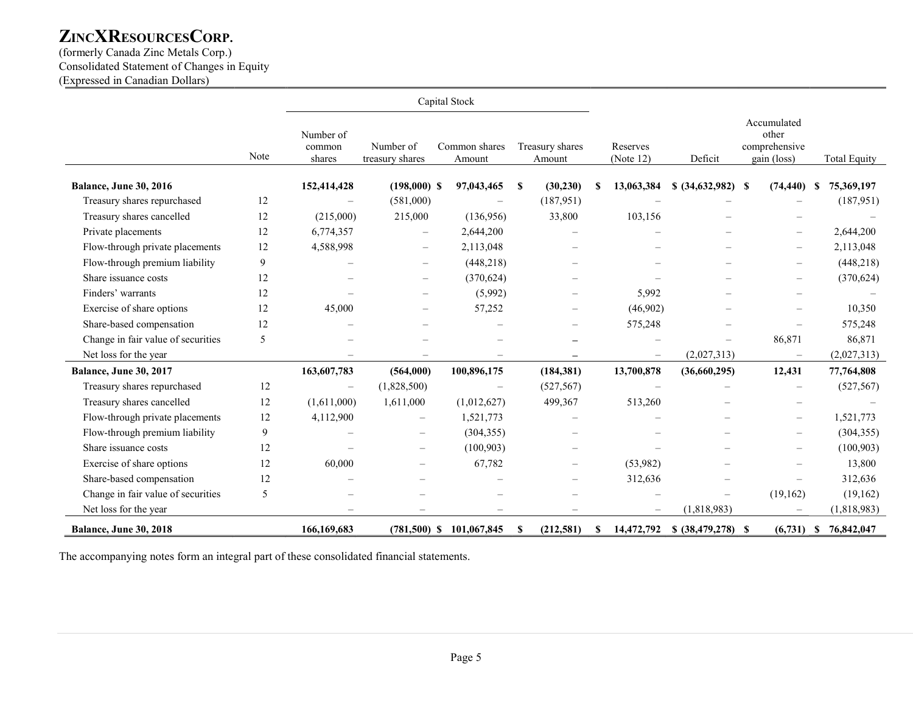(formerly Canada Zinc Metals Corp.) Consolidated Statement of Changes in Equity (Expressed in Canadian Dollars)

|                                    |      |                               |                              | Capital Stock              |          |                           |          |                          |                     |                                                      |              |
|------------------------------------|------|-------------------------------|------------------------------|----------------------------|----------|---------------------------|----------|--------------------------|---------------------|------------------------------------------------------|--------------|
|                                    | Note | Number of<br>common<br>shares | Number of<br>treasury shares | Common shares<br>Amount    |          | Treasury shares<br>Amount |          | Reserves<br>(Note $12$ ) | Deficit             | Accumulated<br>other<br>comprehensive<br>gain (loss) | Total Equity |
| Balance, June 30, 2016             |      | 152,414,428                   | $(198,000)$ \$               | 97,043,465                 | S        | (30, 230)                 | <b>S</b> | 13,063,384               | $$ (34,632,982)$ \$ | (74, 440)                                            | 75,369,197   |
| Treasury shares repurchased        | 12   |                               | (581,000)                    |                            |          | (187, 951)                |          |                          |                     |                                                      | (187, 951)   |
| Treasury shares cancelled          | 12   | (215,000)                     | 215,000                      | (136,956)                  |          | 33,800                    |          | 103,156                  |                     |                                                      |              |
| Private placements                 | 12   | 6,774,357                     | $\overline{\phantom{0}}$     | 2,644,200                  |          |                           |          |                          |                     | $\overline{\phantom{0}}$                             | 2,644,200    |
| Flow-through private placements    | 12   | 4,588,998                     | $\overline{\phantom{m}}$     | 2,113,048                  |          |                           |          |                          |                     |                                                      | 2,113,048    |
| Flow-through premium liability     | 9    |                               | $\overline{\phantom{m}}$     | (448, 218)                 |          |                           |          |                          |                     | $\overline{\phantom{m}}$                             | (448, 218)   |
| Share issuance costs               | 12   |                               |                              | (370, 624)                 |          |                           |          |                          |                     |                                                      | (370, 624)   |
| Finders' warrants                  | 12   |                               |                              | (5,992)                    |          |                           |          | 5,992                    |                     |                                                      |              |
| Exercise of share options          | 12   | 45,000                        | $\overline{\phantom{0}}$     | 57,252                     |          |                           |          | (46,902)                 |                     |                                                      | 10,350       |
| Share-based compensation           | 12   |                               |                              |                            |          |                           |          | 575,248                  |                     |                                                      | 575,248      |
| Change in fair value of securities | 5    |                               |                              |                            |          |                           |          |                          |                     | 86,871                                               | 86,871       |
| Net loss for the year              |      |                               |                              |                            |          |                           |          |                          | (2,027,313)         |                                                      | (2,027,313)  |
| <b>Balance, June 30, 2017</b>      |      | 163,607,783                   | (564,000)                    | 100,896,175                |          | (184, 381)                |          | 13,700,878               | (36,660,295)        | 12,431                                               | 77,764,808   |
| Treasury shares repurchased        | 12   | $\overline{\phantom{m}}$      | (1,828,500)                  |                            |          | (527, 567)                |          |                          |                     |                                                      | (527, 567)   |
| Treasury shares cancelled          | 12   | (1,611,000)                   | 1,611,000                    | (1,012,627)                |          | 499,367                   |          | 513,260                  |                     |                                                      |              |
| Flow-through private placements    | 12   | 4,112,900                     | $\overline{\phantom{m}}$     | 1,521,773                  |          | $\overline{\phantom{m}}$  |          |                          |                     | $\overline{\phantom{m}}$                             | 1,521,773    |
| Flow-through premium liability     | 9    |                               |                              | (304, 355)                 |          |                           |          |                          |                     |                                                      | (304, 355)   |
| Share issuance costs               | 12   |                               |                              | (100, 903)                 |          |                           |          |                          |                     |                                                      | (100, 903)   |
| Exercise of share options          | 12   | 60,000                        |                              | 67,782                     |          | $\equiv$                  |          | (53,982)                 |                     |                                                      | 13,800       |
| Share-based compensation           | 12   |                               |                              |                            |          |                           |          | 312,636                  |                     | $\equiv$                                             | 312,636      |
| Change in fair value of securities | 5    |                               |                              |                            |          |                           |          |                          |                     | (19, 162)                                            | (19, 162)    |
| Net loss for the year              |      |                               |                              |                            |          |                           |          | $\equiv$                 | (1,818,983)         |                                                      | (1,818,983)  |
| Balance, June 30, 2018             |      | 166,169,683                   |                              | $(781,500)$ \$ 101,067,845 | <b>S</b> | (212,581)                 | -S       | 14,472,792               |                     | $(6,731)$ \$                                         | 76,842,047   |

The accompanying notes form an integral part of these consolidated financial statements.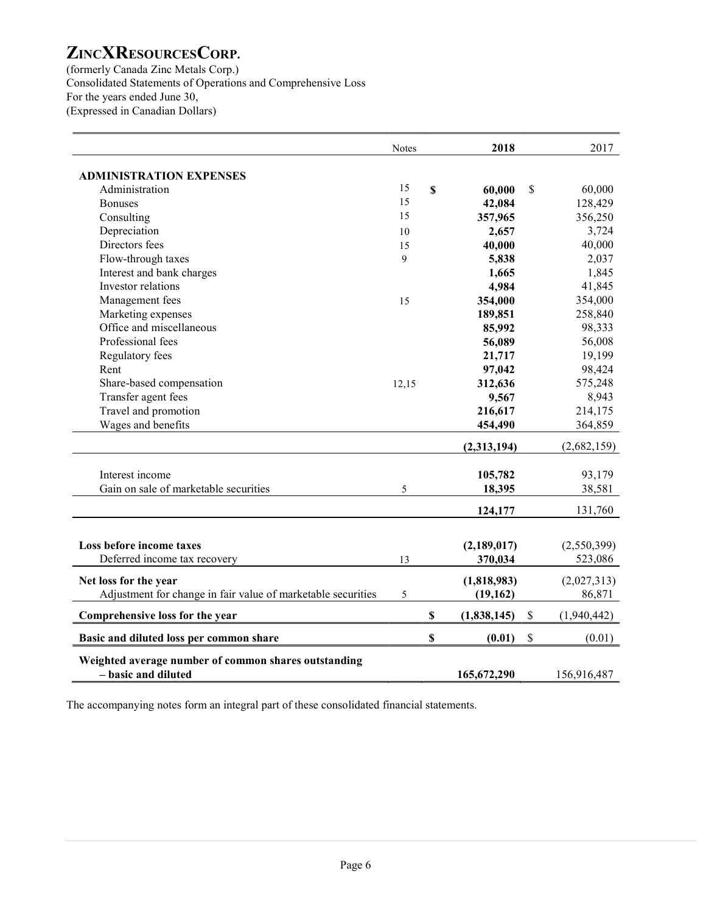(formerly Canada Zinc Metals Corp.) Consolidated Statements of Operations and Comprehensive Loss For the years ended June 30, (Expressed in Canadian Dollars)

|                                                              | <b>Notes</b> |                           | 2018        |               | 2017        |
|--------------------------------------------------------------|--------------|---------------------------|-------------|---------------|-------------|
| <b>ADMINISTRATION EXPENSES</b>                               |              |                           |             |               |             |
| Administration                                               | 15           | \$                        | 60,000      | $\mathbb{S}$  | 60,000      |
| <b>Bonuses</b>                                               | 15           |                           | 42,084      |               | 128,429     |
| Consulting                                                   | 15           |                           | 357,965     |               | 356,250     |
| Depreciation                                                 | 10           |                           | 2,657       |               | 3,724       |
| Directors fees                                               | 15           |                           | 40,000      |               | 40,000      |
| Flow-through taxes                                           | 9            |                           | 5,838       |               | 2,037       |
| Interest and bank charges                                    |              |                           | 1,665       |               | 1,845       |
| Investor relations                                           |              |                           | 4,984       |               | 41,845      |
| Management fees                                              | 15           |                           | 354,000     |               | 354,000     |
| Marketing expenses                                           |              |                           | 189,851     |               | 258,840     |
| Office and miscellaneous                                     |              |                           | 85,992      |               | 98,333      |
| Professional fees                                            |              |                           | 56,089      |               | 56,008      |
| Regulatory fees                                              |              |                           | 21,717      |               | 19,199      |
| Rent                                                         |              |                           | 97,042      |               | 98,424      |
| Share-based compensation                                     | 12,15        |                           | 312,636     |               | 575,248     |
| Transfer agent fees                                          |              |                           | 9,567       |               | 8,943       |
| Travel and promotion                                         |              |                           | 216,617     |               | 214,175     |
| Wages and benefits                                           |              |                           | 454,490     |               | 364,859     |
|                                                              |              |                           | (2,313,194) |               | (2,682,159) |
|                                                              |              |                           |             |               |             |
| Interest income                                              |              |                           | 105,782     |               | 93,179      |
| Gain on sale of marketable securities                        | 5            |                           | 18,395      |               | 38,581      |
|                                                              |              |                           | 124,177     |               | 131,760     |
|                                                              |              |                           |             |               |             |
| Loss before income taxes                                     |              |                           | (2,189,017) |               | (2,550,399) |
| Deferred income tax recovery                                 | 13           |                           | 370,034     |               | 523,086     |
|                                                              |              |                           |             |               |             |
| Net loss for the year                                        |              |                           | (1,818,983) |               | (2,027,313) |
| Adjustment for change in fair value of marketable securities | 5            |                           | (19, 162)   |               | 86,871      |
| Comprehensive loss for the year                              |              | $\boldsymbol{\mathsf{S}}$ | (1,838,145) | $\mathcal{S}$ | (1,940,442) |
| Basic and diluted loss per common share                      |              | \$                        | (0.01)      | \$            | (0.01)      |
| Weighted average number of common shares outstanding         |              |                           |             |               |             |
| - basic and diluted                                          |              |                           | 165,672,290 |               | 156,916,487 |

The accompanying notes form an integral part of these consolidated financial statements.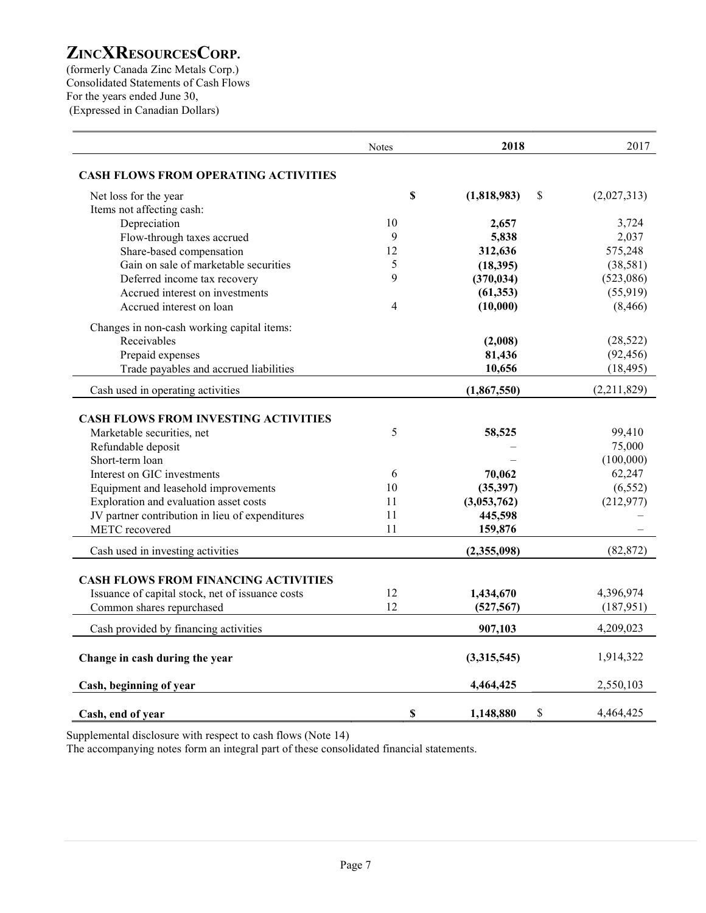(formerly Canada Zinc Metals Corp.) Consolidated Statements of Cash Flows For the years ended June 30, (Expressed in Canadian Dollars)

|                                                                   | <b>Notes</b>   | 2018                     | 2017        |
|-------------------------------------------------------------------|----------------|--------------------------|-------------|
| <b>CASH FLOWS FROM OPERATING ACTIVITIES</b>                       |                |                          |             |
| Net loss for the year                                             | $\mathbf S$    | (1,818,983)<br>\$        | (2,027,313) |
| Items not affecting cash:                                         |                |                          |             |
| Depreciation                                                      | 10             | 2,657                    | 3,724       |
| Flow-through taxes accrued                                        | 9              | 5,838                    | 2,037       |
| Share-based compensation                                          | 12             | 312,636                  | 575,248     |
| Gain on sale of marketable securities                             | 5              | (18, 395)                | (38,581)    |
| Deferred income tax recovery                                      | 9              | (370, 034)               | (523,086)   |
| Accrued interest on investments                                   |                | (61, 353)                | (55, 919)   |
| Accrued interest on loan                                          | $\overline{4}$ | (10,000)                 | (8, 466)    |
| Changes in non-cash working capital items:                        |                |                          |             |
| Receivables                                                       |                | (2,008)                  | (28, 522)   |
| Prepaid expenses                                                  |                | 81,436                   | (92, 456)   |
| Trade payables and accrued liabilities                            |                | 10,656                   | (18, 495)   |
| Cash used in operating activities                                 |                | (1,867,550)              | (2,211,829) |
| <b>CASH FLOWS FROM INVESTING ACTIVITIES</b>                       |                |                          |             |
| Marketable securities, net                                        | 5              | 58,525                   | 99,410      |
|                                                                   |                |                          | 75,000      |
| Refundable deposit<br>Short-term loan                             |                |                          | (100,000)   |
| Interest on GIC investments                                       | 6              | 70,062                   | 62,247      |
|                                                                   | 10             |                          | (6, 552)    |
| Equipment and leasehold improvements                              | 11             | (35, 397)<br>(3,053,762) | (212,977)   |
| Exploration and evaluation asset costs                            | 11             | 445,598                  |             |
| JV partner contribution in lieu of expenditures<br>METC recovered | 11             | 159,876                  |             |
|                                                                   |                |                          |             |
| Cash used in investing activities                                 |                | (2,355,098)              | (82, 872)   |
| <b>CASH FLOWS FROM FINANCING ACTIVITIES</b>                       |                |                          |             |
| Issuance of capital stock, net of issuance costs                  | 12             | 1,434,670                | 4,396,974   |
| Common shares repurchased                                         | 12             | (527, 567)               | (187,951)   |
| Cash provided by financing activities                             |                | 907,103                  | 4,209,023   |
|                                                                   |                |                          |             |
| Change in cash during the year                                    |                | (3,315,545)              | 1,914,322   |
| Cash, beginning of year                                           |                | 4,464,425                | 2,550,103   |
| Cash, end of year                                                 | \$             | \$<br>1,148,880          | 4,464,425   |

Supplemental disclosure with respect to cash flows (Note 14)

The accompanying notes form an integral part of these consolidated financial statements.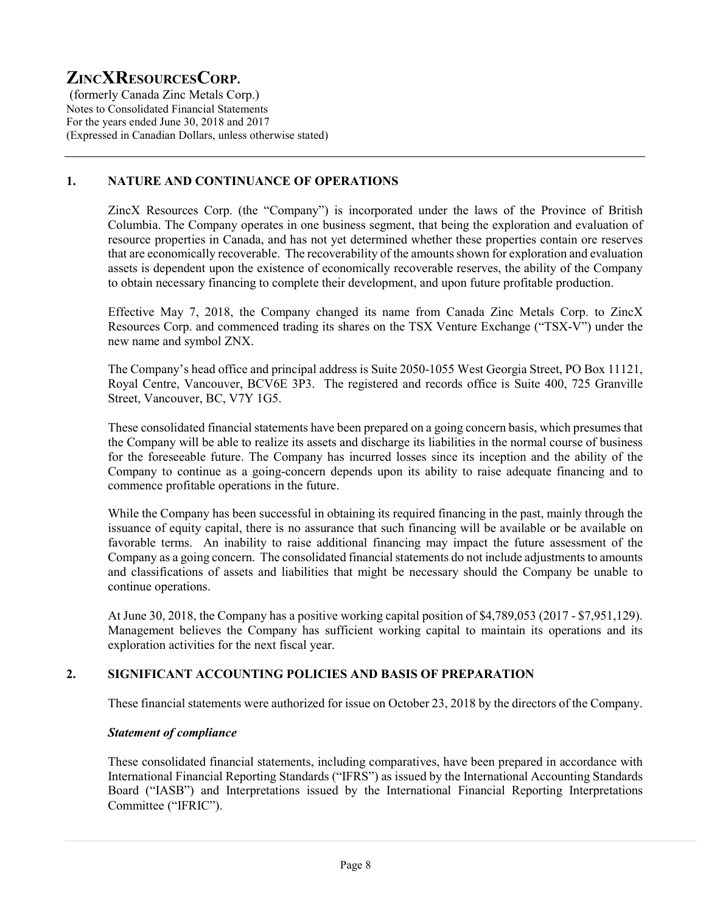(formerly Canada Zinc Metals Corp.) Notes to Consolidated Financial Statements For the years ended June 30, 2018 and 2017 (Expressed in Canadian Dollars, unless otherwise stated)

# 1. NATURE AND CONTINUANCE OF OPERATIONS

ZincX Resources Corp. (the "Company") is incorporated under the laws of the Province of British Columbia. The Company operates in one business segment, that being the exploration and evaluation of resource properties in Canada, and has not yet determined whether these properties contain ore reserves that are economically recoverable. The recoverability of the amounts shown for exploration and evaluation assets is dependent upon the existence of economically recoverable reserves, the ability of the Company to obtain necessary financing to complete their development, and upon future profitable production.

Effective May 7, 2018, the Company changed its name from Canada Zinc Metals Corp. to ZincX Resources Corp. and commenced trading its shares on the TSX Venture Exchange ("TSX-V") under the new name and symbol ZNX.

The Company's head office and principal address is Suite 2050-1055 West Georgia Street, PO Box 11121, Royal Centre, Vancouver, BCV6E 3P3. The registered and records office is Suite 400, 725 Granville Street, Vancouver, BC, V7Y 1G5.

These consolidated financial statements have been prepared on a going concern basis, which presumes that the Company will be able to realize its assets and discharge its liabilities in the normal course of business for the foreseeable future. The Company has incurred losses since its inception and the ability of the Company to continue as a going-concern depends upon its ability to raise adequate financing and to commence profitable operations in the future.

While the Company has been successful in obtaining its required financing in the past, mainly through the issuance of equity capital, there is no assurance that such financing will be available or be available on favorable terms. An inability to raise additional financing may impact the future assessment of the Company as a going concern. The consolidated financial statements do not include adjustments to amounts and classifications of assets and liabilities that might be necessary should the Company be unable to continue operations.

At June 30, 2018, the Company has a positive working capital position of \$4,789,053 (2017 - \$7,951,129). Management believes the Company has sufficient working capital to maintain its operations and its exploration activities for the next fiscal year.

### 2. SIGNIFICANT ACCOUNTING POLICIES AND BASIS OF PREPARATION

These financial statements were authorized for issue on October 23, 2018 by the directors of the Company.

#### Statement of compliance

These consolidated financial statements, including comparatives, have been prepared in accordance with International Financial Reporting Standards ("IFRS") as issued by the International Accounting Standards Board ("IASB") and Interpretations issued by the International Financial Reporting Interpretations Committee ("IFRIC").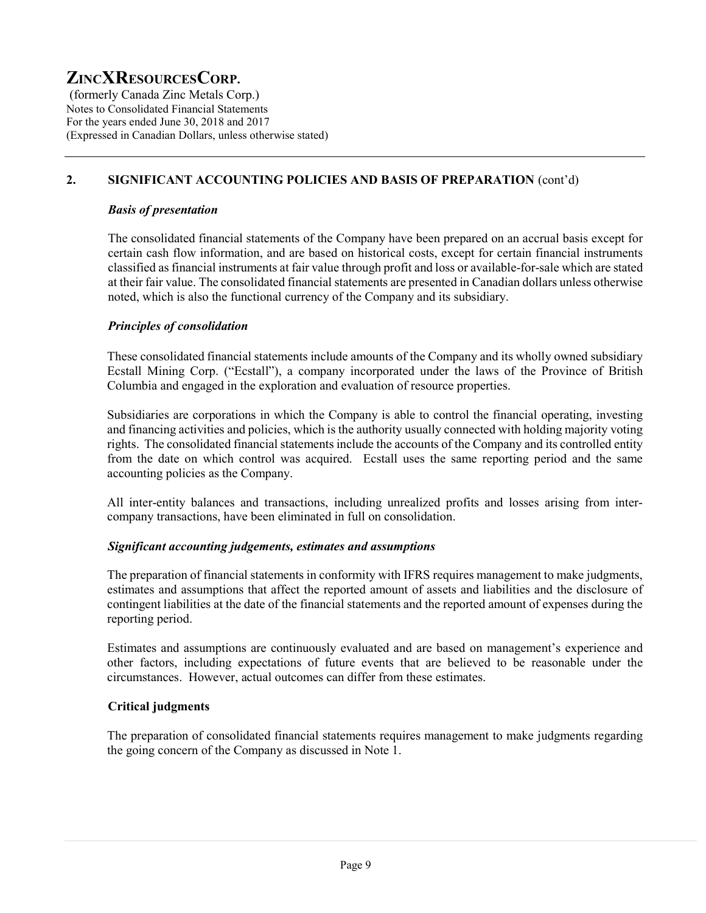(formerly Canada Zinc Metals Corp.) Notes to Consolidated Financial Statements For the years ended June 30, 2018 and 2017 (Expressed in Canadian Dollars, unless otherwise stated)

# 2. SIGNIFICANT ACCOUNTING POLICIES AND BASIS OF PREPARATION (cont'd)

#### Basis of presentation

The consolidated financial statements of the Company have been prepared on an accrual basis except for certain cash flow information, and are based on historical costs, except for certain financial instruments classified as financial instruments at fair value through profit and loss or available-for-sale which are stated at their fair value. The consolidated financial statements are presented in Canadian dollars unless otherwise noted, which is also the functional currency of the Company and its subsidiary.

#### Principles of consolidation

These consolidated financial statements include amounts of the Company and its wholly owned subsidiary Ecstall Mining Corp. ("Ecstall"), a company incorporated under the laws of the Province of British Columbia and engaged in the exploration and evaluation of resource properties.

Subsidiaries are corporations in which the Company is able to control the financial operating, investing and financing activities and policies, which is the authority usually connected with holding majority voting rights. The consolidated financial statements include the accounts of the Company and its controlled entity from the date on which control was acquired. Ecstall uses the same reporting period and the same accounting policies as the Company.

All inter-entity balances and transactions, including unrealized profits and losses arising from intercompany transactions, have been eliminated in full on consolidation.

#### Significant accounting judgements, estimates and assumptions

The preparation of financial statements in conformity with IFRS requires management to make judgments, estimates and assumptions that affect the reported amount of assets and liabilities and the disclosure of contingent liabilities at the date of the financial statements and the reported amount of expenses during the reporting period.

Estimates and assumptions are continuously evaluated and are based on management's experience and other factors, including expectations of future events that are believed to be reasonable under the circumstances. However, actual outcomes can differ from these estimates.

### Critical judgments

The preparation of consolidated financial statements requires management to make judgments regarding the going concern of the Company as discussed in Note 1.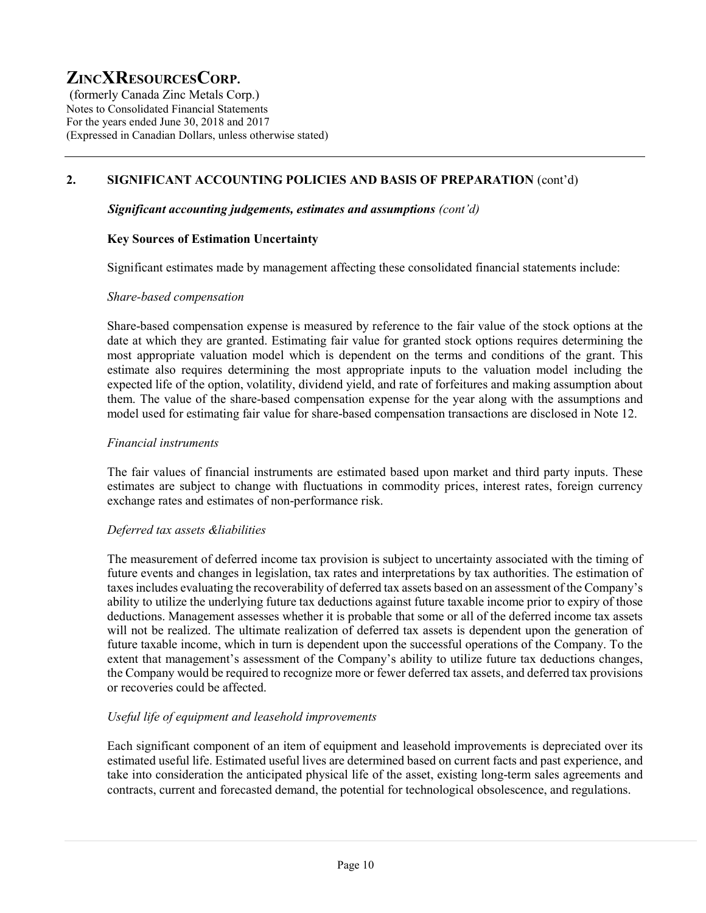(formerly Canada Zinc Metals Corp.) Notes to Consolidated Financial Statements For the years ended June 30, 2018 and 2017 (Expressed in Canadian Dollars, unless otherwise stated)

# 2. SIGNIFICANT ACCOUNTING POLICIES AND BASIS OF PREPARATION (cont'd)

#### Significant accounting judgements, estimates and assumptions (cont'd)

#### Key Sources of Estimation Uncertainty

Significant estimates made by management affecting these consolidated financial statements include:

#### Share-based compensation

Share-based compensation expense is measured by reference to the fair value of the stock options at the date at which they are granted. Estimating fair value for granted stock options requires determining the most appropriate valuation model which is dependent on the terms and conditions of the grant. This estimate also requires determining the most appropriate inputs to the valuation model including the expected life of the option, volatility, dividend yield, and rate of forfeitures and making assumption about them. The value of the share-based compensation expense for the year along with the assumptions and model used for estimating fair value for share-based compensation transactions are disclosed in Note 12.

#### Financial instruments

The fair values of financial instruments are estimated based upon market and third party inputs. These estimates are subject to change with fluctuations in commodity prices, interest rates, foreign currency exchange rates and estimates of non-performance risk.

#### Deferred tax assets &liabilities

The measurement of deferred income tax provision is subject to uncertainty associated with the timing of future events and changes in legislation, tax rates and interpretations by tax authorities. The estimation of taxes includes evaluating the recoverability of deferred tax assets based on an assessment of the Company's ability to utilize the underlying future tax deductions against future taxable income prior to expiry of those deductions. Management assesses whether it is probable that some or all of the deferred income tax assets will not be realized. The ultimate realization of deferred tax assets is dependent upon the generation of future taxable income, which in turn is dependent upon the successful operations of the Company. To the extent that management's assessment of the Company's ability to utilize future tax deductions changes, the Company would be required to recognize more or fewer deferred tax assets, and deferred tax provisions or recoveries could be affected.

### Useful life of equipment and leasehold improvements

Each significant component of an item of equipment and leasehold improvements is depreciated over its estimated useful life. Estimated useful lives are determined based on current facts and past experience, and take into consideration the anticipated physical life of the asset, existing long-term sales agreements and contracts, current and forecasted demand, the potential for technological obsolescence, and regulations.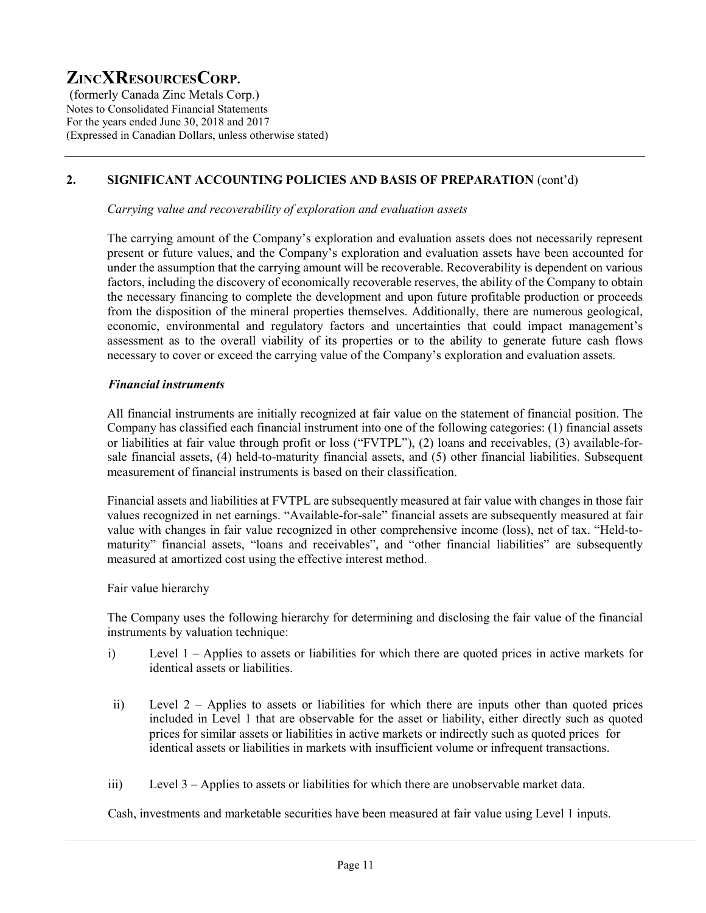(formerly Canada Zinc Metals Corp.) Notes to Consolidated Financial Statements For the years ended June 30, 2018 and 2017 (Expressed in Canadian Dollars, unless otherwise stated)

# 2. SIGNIFICANT ACCOUNTING POLICIES AND BASIS OF PREPARATION (cont'd)

Carrying value and recoverability of exploration and evaluation assets

The carrying amount of the Company's exploration and evaluation assets does not necessarily represent present or future values, and the Company's exploration and evaluation assets have been accounted for under the assumption that the carrying amount will be recoverable. Recoverability is dependent on various factors, including the discovery of economically recoverable reserves, the ability of the Company to obtain the necessary financing to complete the development and upon future profitable production or proceeds from the disposition of the mineral properties themselves. Additionally, there are numerous geological, economic, environmental and regulatory factors and uncertainties that could impact management's assessment as to the overall viability of its properties or to the ability to generate future cash flows necessary to cover or exceed the carrying value of the Company's exploration and evaluation assets.

#### Financial instruments

All financial instruments are initially recognized at fair value on the statement of financial position. The Company has classified each financial instrument into one of the following categories: (1) financial assets or liabilities at fair value through profit or loss ("FVTPL"), (2) loans and receivables, (3) available-forsale financial assets, (4) held-to-maturity financial assets, and (5) other financial liabilities. Subsequent measurement of financial instruments is based on their classification.

Financial assets and liabilities at FVTPL are subsequently measured at fair value with changes in those fair values recognized in net earnings. "Available-for-sale" financial assets are subsequently measured at fair value with changes in fair value recognized in other comprehensive income (loss), net of tax. "Held-tomaturity" financial assets, "loans and receivables", and "other financial liabilities" are subsequently measured at amortized cost using the effective interest method.

Fair value hierarchy

The Company uses the following hierarchy for determining and disclosing the fair value of the financial instruments by valuation technique:

- i) Level 1 Applies to assets or liabilities for which there are quoted prices in active markets for identical assets or liabilities.
- ii) Level 2 Applies to assets or liabilities for which there are inputs other than quoted prices included in Level 1 that are observable for the asset or liability, either directly such as quoted prices for similar assets or liabilities in active markets or indirectly such as quoted prices for identical assets or liabilities in markets with insufficient volume or infrequent transactions.
- iii) Level 3 Applies to assets or liabilities for which there are unobservable market data.

Cash, investments and marketable securities have been measured at fair value using Level 1 inputs.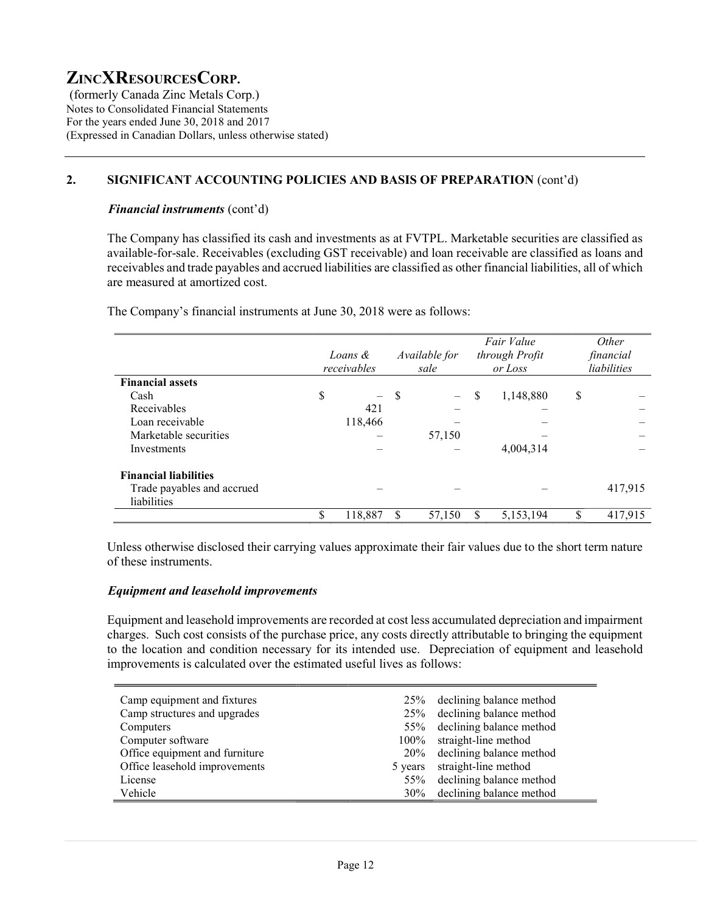(formerly Canada Zinc Metals Corp.) Notes to Consolidated Financial Statements For the years ended June 30, 2018 and 2017 (Expressed in Canadian Dollars, unless otherwise stated)

## 2. SIGNIFICANT ACCOUNTING POLICIES AND BASIS OF PREPARATION (cont'd)

#### Financial instruments (cont'd)

The Company has classified its cash and investments as at FVTPL. Marketable securities are classified as available-for-sale. Receivables (excluding GST receivable) and loan receivable are classified as loans and receivables and trade payables and accrued liabilities are classified as other financial liabilities, all of which are measured at amortized cost.

The Company's financial instruments at June 30, 2018 were as follows:

|                              |    | Loans &<br>receivables   |               | Available for<br>sale |    | Fair Value<br>through Profit<br>or Loss |    | Other<br>financial<br>liabilities |
|------------------------------|----|--------------------------|---------------|-----------------------|----|-----------------------------------------|----|-----------------------------------|
| <b>Financial assets</b>      |    |                          |               |                       |    |                                         |    |                                   |
| Cash                         | \$ | $\overline{\phantom{0}}$ | $\mathcal{S}$ |                       | \$ | 1,148,880                               | \$ |                                   |
| Receivables                  |    | 421                      |               |                       |    |                                         |    |                                   |
| Loan receivable              |    | 118,466                  |               |                       |    |                                         |    |                                   |
| Marketable securities        |    |                          |               | 57,150                |    |                                         |    |                                   |
| Investments                  |    |                          |               |                       |    | 4,004,314                               |    |                                   |
| <b>Financial liabilities</b> |    |                          |               |                       |    |                                         |    |                                   |
| Trade payables and accrued   |    |                          |               |                       |    |                                         |    | 417,915                           |
| liabilities                  |    |                          |               |                       |    |                                         |    |                                   |
|                              | S  | 118,887                  | S             | 57,150                | S  | 5,153,194                               | S  | 417,915                           |

Unless otherwise disclosed their carrying values approximate their fair values due to the short term nature of these instruments.

#### Equipment and leasehold improvements

Equipment and leasehold improvements are recorded at cost less accumulated depreciation and impairment charges. Such cost consists of the purchase price, any costs directly attributable to bringing the equipment to the location and condition necessary for its intended use. Depreciation of equipment and leasehold improvements is calculated over the estimated useful lives as follows:

| Camp equipment and fixtures    | 25%    | declining balance method     |
|--------------------------------|--------|------------------------------|
|                                |        |                              |
| Camp structures and upgrades   |        | 25% declining balance method |
| Computers                      |        | 55% declining balance method |
| Computer software              |        | 100% straight-line method    |
| Office equipment and furniture |        | 20% declining balance method |
| Office leasehold improvements  |        | 5 years straight-line method |
| License                        |        | 55% declining balance method |
| Vehicle                        | $30\%$ | declining balance method     |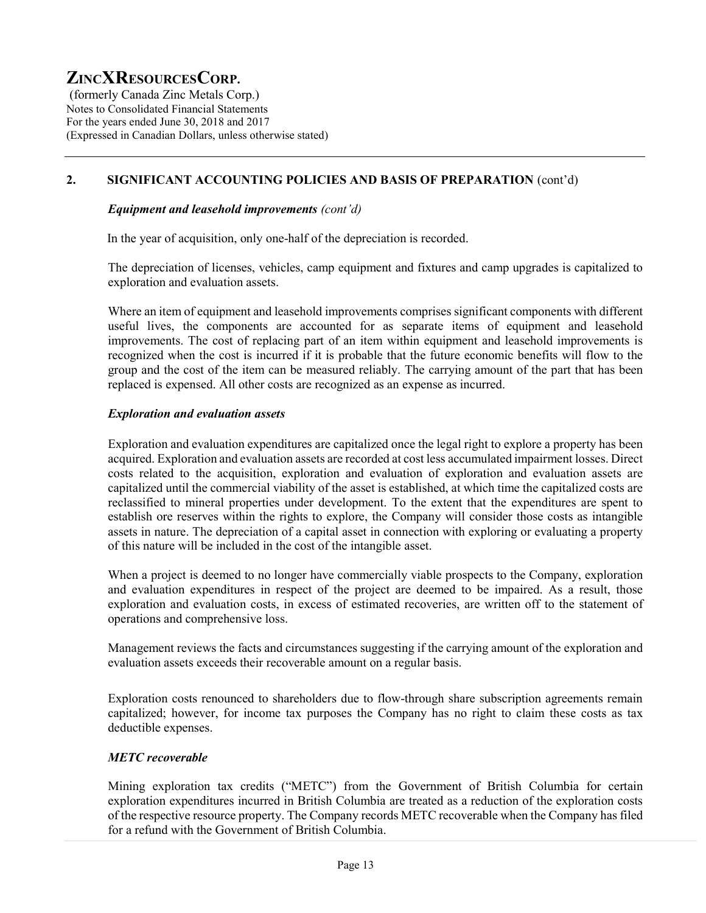(formerly Canada Zinc Metals Corp.) Notes to Consolidated Financial Statements For the years ended June 30, 2018 and 2017 (Expressed in Canadian Dollars, unless otherwise stated)

# 2. SIGNIFICANT ACCOUNTING POLICIES AND BASIS OF PREPARATION (cont'd)

#### Equipment and leasehold improvements (cont'd)

In the year of acquisition, only one-half of the depreciation is recorded.

The depreciation of licenses, vehicles, camp equipment and fixtures and camp upgrades is capitalized to exploration and evaluation assets.

Where an item of equipment and leasehold improvements comprises significant components with different useful lives, the components are accounted for as separate items of equipment and leasehold improvements. The cost of replacing part of an item within equipment and leasehold improvements is recognized when the cost is incurred if it is probable that the future economic benefits will flow to the group and the cost of the item can be measured reliably. The carrying amount of the part that has been replaced is expensed. All other costs are recognized as an expense as incurred.

#### Exploration and evaluation assets

Exploration and evaluation expenditures are capitalized once the legal right to explore a property has been acquired. Exploration and evaluation assets are recorded at cost less accumulated impairment losses. Direct costs related to the acquisition, exploration and evaluation of exploration and evaluation assets are capitalized until the commercial viability of the asset is established, at which time the capitalized costs are reclassified to mineral properties under development. To the extent that the expenditures are spent to establish ore reserves within the rights to explore, the Company will consider those costs as intangible assets in nature. The depreciation of a capital asset in connection with exploring or evaluating a property of this nature will be included in the cost of the intangible asset.

When a project is deemed to no longer have commercially viable prospects to the Company, exploration and evaluation expenditures in respect of the project are deemed to be impaired. As a result, those exploration and evaluation costs, in excess of estimated recoveries, are written off to the statement of operations and comprehensive loss.

Management reviews the facts and circumstances suggesting if the carrying amount of the exploration and evaluation assets exceeds their recoverable amount on a regular basis.

Exploration costs renounced to shareholders due to flow-through share subscription agreements remain capitalized; however, for income tax purposes the Company has no right to claim these costs as tax deductible expenses.

### METC recoverable

Mining exploration tax credits ("METC") from the Government of British Columbia for certain exploration expenditures incurred in British Columbia are treated as a reduction of the exploration costs of the respective resource property. The Company records METC recoverable when the Company has filed for a refund with the Government of British Columbia.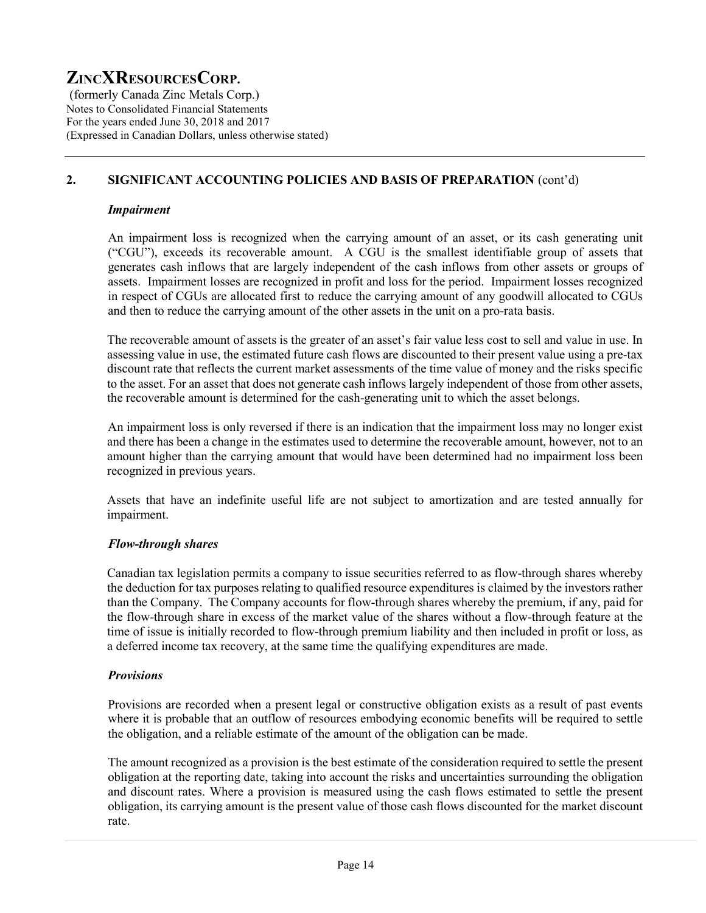(formerly Canada Zinc Metals Corp.) Notes to Consolidated Financial Statements For the years ended June 30, 2018 and 2017 (Expressed in Canadian Dollars, unless otherwise stated)

# 2. SIGNIFICANT ACCOUNTING POLICIES AND BASIS OF PREPARATION (cont'd)

#### Impairment

An impairment loss is recognized when the carrying amount of an asset, or its cash generating unit ("CGU"), exceeds its recoverable amount. A CGU is the smallest identifiable group of assets that generates cash inflows that are largely independent of the cash inflows from other assets or groups of assets. Impairment losses are recognized in profit and loss for the period. Impairment losses recognized in respect of CGUs are allocated first to reduce the carrying amount of any goodwill allocated to CGUs and then to reduce the carrying amount of the other assets in the unit on a pro-rata basis.

The recoverable amount of assets is the greater of an asset's fair value less cost to sell and value in use. In assessing value in use, the estimated future cash flows are discounted to their present value using a pre-tax discount rate that reflects the current market assessments of the time value of money and the risks specific to the asset. For an asset that does not generate cash inflows largely independent of those from other assets, the recoverable amount is determined for the cash-generating unit to which the asset belongs.

 An impairment loss is only reversed if there is an indication that the impairment loss may no longer exist and there has been a change in the estimates used to determine the recoverable amount, however, not to an amount higher than the carrying amount that would have been determined had no impairment loss been recognized in previous years.

Assets that have an indefinite useful life are not subject to amortization and are tested annually for impairment.

### Flow-through shares

Canadian tax legislation permits a company to issue securities referred to as flow-through shares whereby the deduction for tax purposes relating to qualified resource expenditures is claimed by the investors rather than the Company. The Company accounts for flow-through shares whereby the premium, if any, paid for the flow-through share in excess of the market value of the shares without a flow-through feature at the time of issue is initially recorded to flow-through premium liability and then included in profit or loss, as a deferred income tax recovery, at the same time the qualifying expenditures are made.

### **Provisions**

Provisions are recorded when a present legal or constructive obligation exists as a result of past events where it is probable that an outflow of resources embodying economic benefits will be required to settle the obligation, and a reliable estimate of the amount of the obligation can be made.

The amount recognized as a provision is the best estimate of the consideration required to settle the present obligation at the reporting date, taking into account the risks and uncertainties surrounding the obligation and discount rates. Where a provision is measured using the cash flows estimated to settle the present obligation, its carrying amount is the present value of those cash flows discounted for the market discount rate.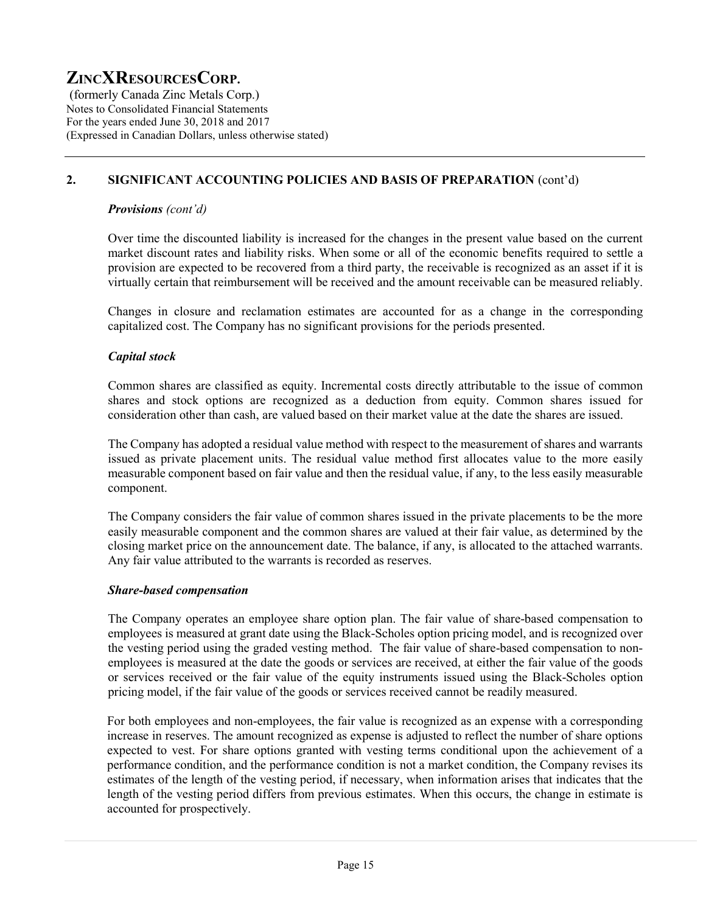(formerly Canada Zinc Metals Corp.) Notes to Consolidated Financial Statements For the years ended June 30, 2018 and 2017 (Expressed in Canadian Dollars, unless otherwise stated)

# 2. SIGNIFICANT ACCOUNTING POLICIES AND BASIS OF PREPARATION (cont'd)

#### Provisions (cont'd)

Over time the discounted liability is increased for the changes in the present value based on the current market discount rates and liability risks. When some or all of the economic benefits required to settle a provision are expected to be recovered from a third party, the receivable is recognized as an asset if it is virtually certain that reimbursement will be received and the amount receivable can be measured reliably.

Changes in closure and reclamation estimates are accounted for as a change in the corresponding capitalized cost. The Company has no significant provisions for the periods presented.

### Capital stock

Common shares are classified as equity. Incremental costs directly attributable to the issue of common shares and stock options are recognized as a deduction from equity. Common shares issued for consideration other than cash, are valued based on their market value at the date the shares are issued.

The Company has adopted a residual value method with respect to the measurement of shares and warrants issued as private placement units. The residual value method first allocates value to the more easily measurable component based on fair value and then the residual value, if any, to the less easily measurable component.

The Company considers the fair value of common shares issued in the private placements to be the more easily measurable component and the common shares are valued at their fair value, as determined by the closing market price on the announcement date. The balance, if any, is allocated to the attached warrants. Any fair value attributed to the warrants is recorded as reserves.

### Share-based compensation

The Company operates an employee share option plan. The fair value of share-based compensation to employees is measured at grant date using the Black-Scholes option pricing model, and is recognized over the vesting period using the graded vesting method. The fair value of share-based compensation to nonemployees is measured at the date the goods or services are received, at either the fair value of the goods or services received or the fair value of the equity instruments issued using the Black-Scholes option pricing model, if the fair value of the goods or services received cannot be readily measured.

For both employees and non-employees, the fair value is recognized as an expense with a corresponding increase in reserves. The amount recognized as expense is adjusted to reflect the number of share options expected to vest. For share options granted with vesting terms conditional upon the achievement of a performance condition, and the performance condition is not a market condition, the Company revises its estimates of the length of the vesting period, if necessary, when information arises that indicates that the length of the vesting period differs from previous estimates. When this occurs, the change in estimate is accounted for prospectively.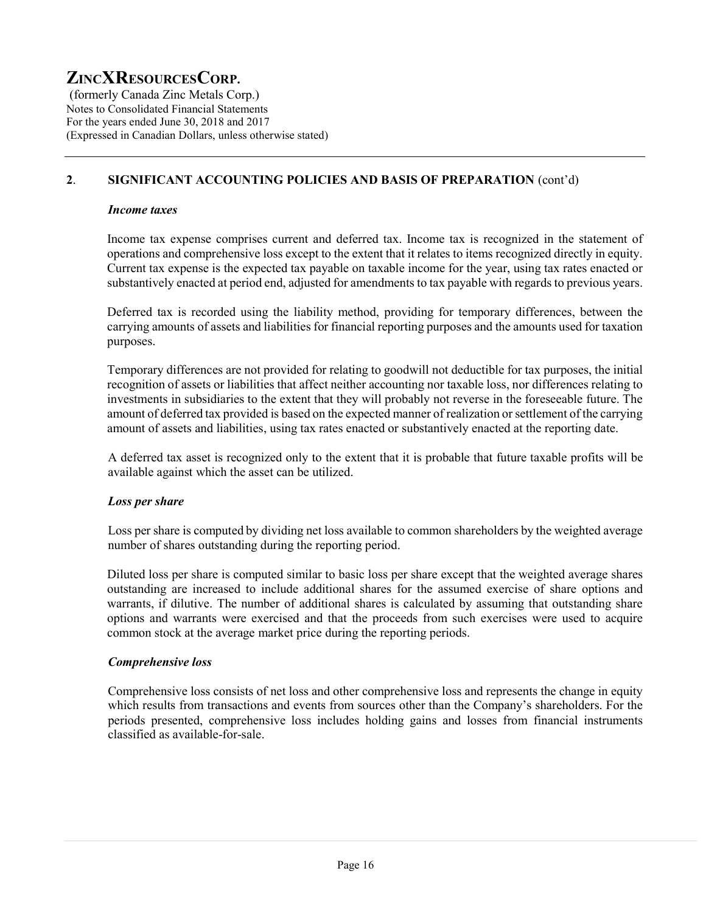(formerly Canada Zinc Metals Corp.) Notes to Consolidated Financial Statements For the years ended June 30, 2018 and 2017 (Expressed in Canadian Dollars, unless otherwise stated)

# 2. SIGNIFICANT ACCOUNTING POLICIES AND BASIS OF PREPARATION (cont'd)

#### Income taxes

Income tax expense comprises current and deferred tax. Income tax is recognized in the statement of operations and comprehensive loss except to the extent that it relates to items recognized directly in equity. Current tax expense is the expected tax payable on taxable income for the year, using tax rates enacted or substantively enacted at period end, adjusted for amendments to tax payable with regards to previous years.

Deferred tax is recorded using the liability method, providing for temporary differences, between the carrying amounts of assets and liabilities for financial reporting purposes and the amounts used for taxation purposes.

Temporary differences are not provided for relating to goodwill not deductible for tax purposes, the initial recognition of assets or liabilities that affect neither accounting nor taxable loss, nor differences relating to investments in subsidiaries to the extent that they will probably not reverse in the foreseeable future. The amount of deferred tax provided is based on the expected manner of realization or settlement of the carrying amount of assets and liabilities, using tax rates enacted or substantively enacted at the reporting date.

A deferred tax asset is recognized only to the extent that it is probable that future taxable profits will be available against which the asset can be utilized.

### Loss per share

Loss per share is computed by dividing net loss available to common shareholders by the weighted average number of shares outstanding during the reporting period.

Diluted loss per share is computed similar to basic loss per share except that the weighted average shares outstanding are increased to include additional shares for the assumed exercise of share options and warrants, if dilutive. The number of additional shares is calculated by assuming that outstanding share options and warrants were exercised and that the proceeds from such exercises were used to acquire common stock at the average market price during the reporting periods.

### Comprehensive loss

Comprehensive loss consists of net loss and other comprehensive loss and represents the change in equity which results from transactions and events from sources other than the Company's shareholders. For the periods presented, comprehensive loss includes holding gains and losses from financial instruments classified as available-for-sale.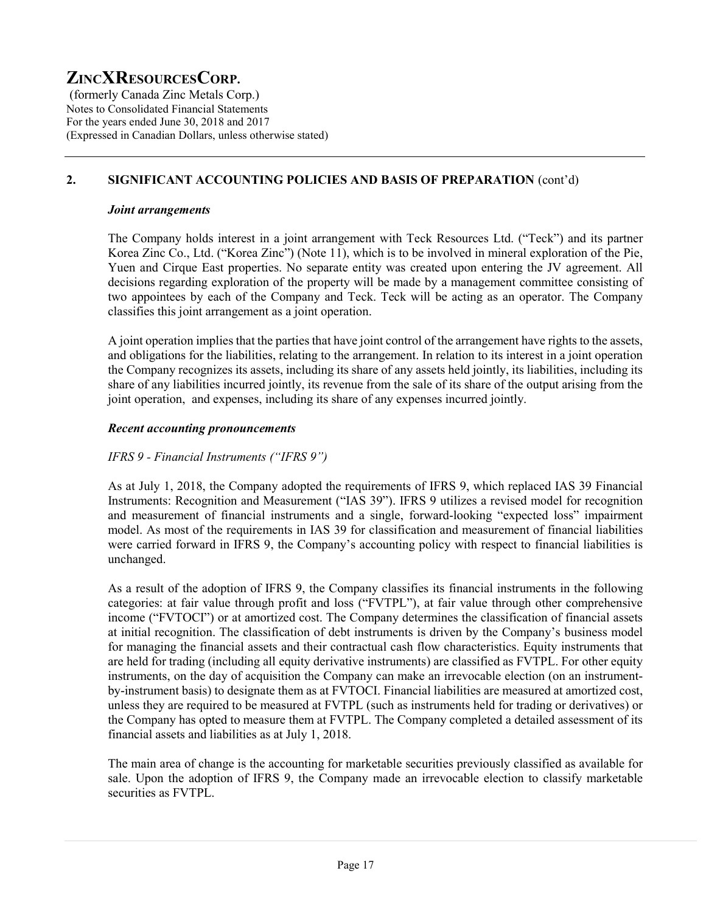(formerly Canada Zinc Metals Corp.) Notes to Consolidated Financial Statements For the years ended June 30, 2018 and 2017 (Expressed in Canadian Dollars, unless otherwise stated)

# 2. SIGNIFICANT ACCOUNTING POLICIES AND BASIS OF PREPARATION (cont'd)

#### Joint arrangements

The Company holds interest in a joint arrangement with Teck Resources Ltd. ("Teck") and its partner Korea Zinc Co., Ltd. ("Korea Zinc") (Note 11), which is to be involved in mineral exploration of the Pie, Yuen and Cirque East properties. No separate entity was created upon entering the JV agreement. All decisions regarding exploration of the property will be made by a management committee consisting of two appointees by each of the Company and Teck. Teck will be acting as an operator. The Company classifies this joint arrangement as a joint operation.

A joint operation implies that the parties that have joint control of the arrangement have rights to the assets, and obligations for the liabilities, relating to the arrangement. In relation to its interest in a joint operation the Company recognizes its assets, including its share of any assets held jointly, its liabilities, including its share of any liabilities incurred jointly, its revenue from the sale of its share of the output arising from the joint operation, and expenses, including its share of any expenses incurred jointly.

#### Recent accounting pronouncements

### IFRS 9 - Financial Instruments ("IFRS 9")

As at July 1, 2018, the Company adopted the requirements of IFRS 9, which replaced IAS 39 Financial Instruments: Recognition and Measurement ("IAS 39"). IFRS 9 utilizes a revised model for recognition and measurement of financial instruments and a single, forward-looking "expected loss" impairment model. As most of the requirements in IAS 39 for classification and measurement of financial liabilities were carried forward in IFRS 9, the Company's accounting policy with respect to financial liabilities is unchanged.

As a result of the adoption of IFRS 9, the Company classifies its financial instruments in the following categories: at fair value through profit and loss ("FVTPL"), at fair value through other comprehensive income ("FVTOCI") or at amortized cost. The Company determines the classification of financial assets at initial recognition. The classification of debt instruments is driven by the Company's business model for managing the financial assets and their contractual cash flow characteristics. Equity instruments that are held for trading (including all equity derivative instruments) are classified as FVTPL. For other equity instruments, on the day of acquisition the Company can make an irrevocable election (on an instrumentby-instrument basis) to designate them as at FVTOCI. Financial liabilities are measured at amortized cost, unless they are required to be measured at FVTPL (such as instruments held for trading or derivatives) or the Company has opted to measure them at FVTPL. The Company completed a detailed assessment of its financial assets and liabilities as at July 1, 2018.

The main area of change is the accounting for marketable securities previously classified as available for sale. Upon the adoption of IFRS 9, the Company made an irrevocable election to classify marketable securities as FVTPL.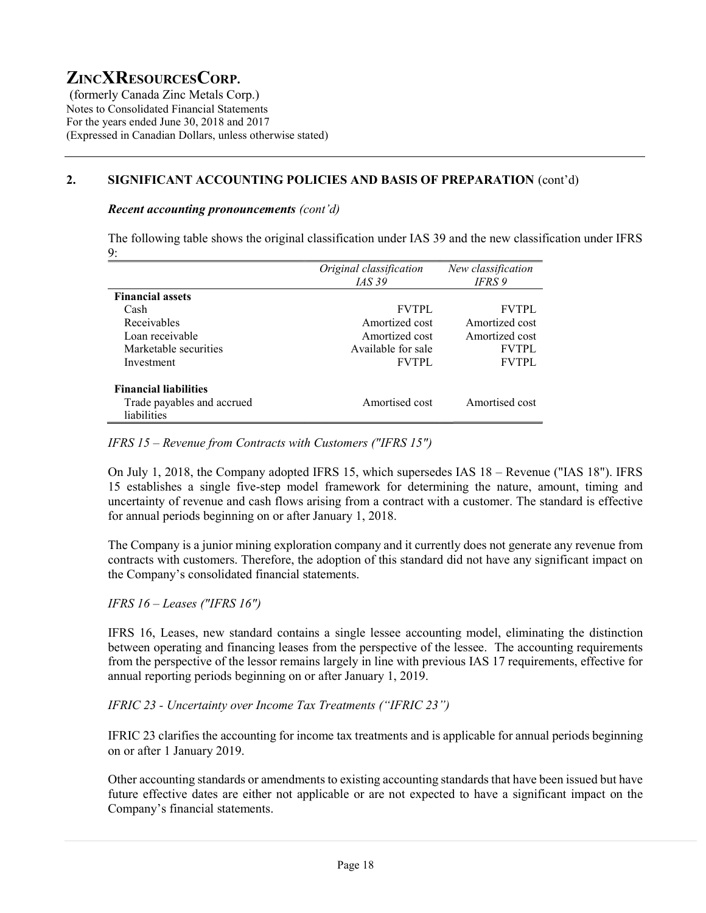(formerly Canada Zinc Metals Corp.) Notes to Consolidated Financial Statements For the years ended June 30, 2018 and 2017 (Expressed in Canadian Dollars, unless otherwise stated)

## 2. SIGNIFICANT ACCOUNTING POLICIES AND BASIS OF PREPARATION (cont'd)

#### Recent accounting pronouncements (cont'd)

The following table shows the original classification under IAS 39 and the new classification under IFRS 9:

|                              | Original classification | New classification |
|------------------------------|-------------------------|--------------------|
|                              | <i>IAS</i> 39           | IFRS 9             |
| <b>Financial assets</b>      |                         |                    |
| Cash                         | <b>FVTPL</b>            | <b>FVTPL</b>       |
| Receivables                  | Amortized cost          | Amortized cost     |
| Loan receivable              | Amortized cost          | Amortized cost     |
| Marketable securities        | Available for sale      | <b>FVTPL</b>       |
| Investment                   | <b>FVTPL</b>            | <b>FVTPL</b>       |
| <b>Financial liabilities</b> |                         |                    |
| Trade payables and accrued   | Amortised cost          | Amortised cost     |
| liabilities                  |                         |                    |

#### IFRS 15 – Revenue from Contracts with Customers ("IFRS 15")

On July 1, 2018, the Company adopted IFRS 15, which supersedes IAS 18 – Revenue ("IAS 18"). IFRS 15 establishes a single five-step model framework for determining the nature, amount, timing and uncertainty of revenue and cash flows arising from a contract with a customer. The standard is effective for annual periods beginning on or after January 1, 2018.

The Company is a junior mining exploration company and it currently does not generate any revenue from contracts with customers. Therefore, the adoption of this standard did not have any significant impact on the Company's consolidated financial statements.

### IFRS 16 – Leases ("IFRS 16")

IFRS 16, Leases, new standard contains a single lessee accounting model, eliminating the distinction between operating and financing leases from the perspective of the lessee. The accounting requirements from the perspective of the lessor remains largely in line with previous IAS 17 requirements, effective for annual reporting periods beginning on or after January 1, 2019.

IFRIC 23 - Uncertainty over Income Tax Treatments ("IFRIC 23")

IFRIC 23 clarifies the accounting for income tax treatments and is applicable for annual periods beginning on or after 1 January 2019.

Other accounting standards or amendments to existing accounting standards that have been issued but have future effective dates are either not applicable or are not expected to have a significant impact on the Company's financial statements.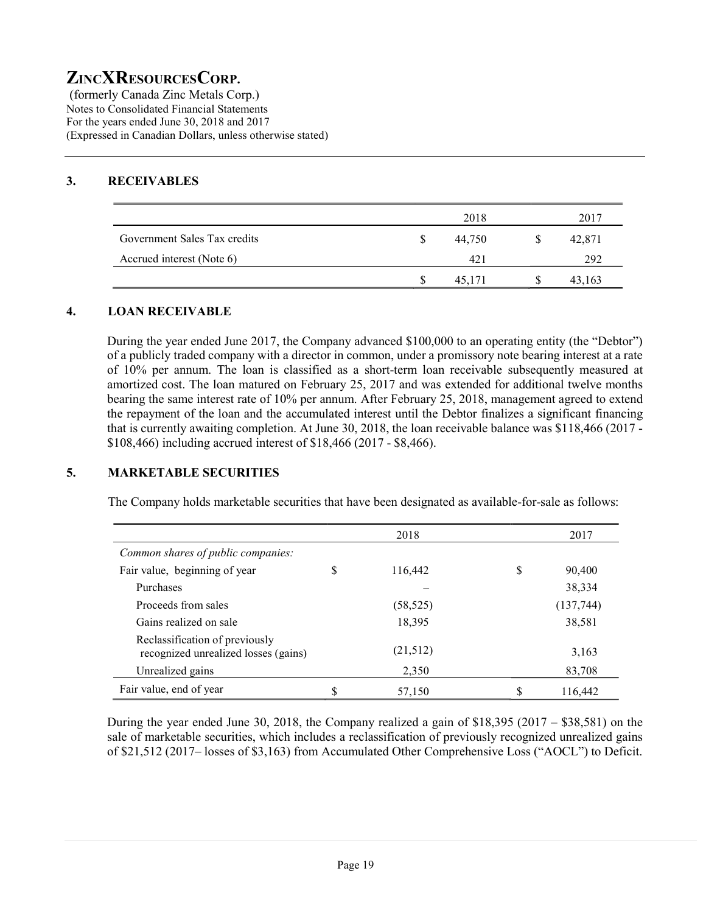(formerly Canada Zinc Metals Corp.) Notes to Consolidated Financial Statements For the years ended June 30, 2018 and 2017 (Expressed in Canadian Dollars, unless otherwise stated)

# 3. RECEIVABLES

|                              | 2018   | 2017   |
|------------------------------|--------|--------|
| Government Sales Tax credits | 44,750 | 42,871 |
| Accrued interest (Note 6)    | 42     | 292    |
|                              | 45.171 | 43,163 |

#### 4. LOAN RECEIVABLE

During the year ended June 2017, the Company advanced \$100,000 to an operating entity (the "Debtor") of a publicly traded company with a director in common, under a promissory note bearing interest at a rate of 10% per annum. The loan is classified as a short-term loan receivable subsequently measured at amortized cost. The loan matured on February 25, 2017 and was extended for additional twelve months bearing the same interest rate of 10% per annum. After February 25, 2018, management agreed to extend the repayment of the loan and the accumulated interest until the Debtor finalizes a significant financing that is currently awaiting completion. At June 30, 2018, the loan receivable balance was \$118,466 (2017 - \$108,466) including accrued interest of \$18,466 (2017 - \$8,466).

### 5. MARKETABLE SECURITIES

The Company holds marketable securities that have been designated as available-for-sale as follows:

|                                                                        |    | 2018      |   | 2017       |
|------------------------------------------------------------------------|----|-----------|---|------------|
| Common shares of public companies:                                     |    |           |   |            |
| Fair value, beginning of year                                          | \$ | 116,442   | S | 90,400     |
| Purchases                                                              |    |           |   | 38,334     |
| Proceeds from sales                                                    |    | (58, 525) |   | (137, 744) |
| Gains realized on sale                                                 |    | 18,395    |   | 38,581     |
| Reclassification of previously<br>recognized unrealized losses (gains) |    | (21,512)  |   | 3,163      |
| Unrealized gains                                                       |    | 2,350     |   | 83,708     |
| Fair value, end of year                                                | S  | 57,150    |   | 116,442    |

During the year ended June 30, 2018, the Company realized a gain of  $$18,395 (2017 - $38,581)$  on the sale of marketable securities, which includes a reclassification of previously recognized unrealized gains of \$21,512 (2017– losses of \$3,163) from Accumulated Other Comprehensive Loss ("AOCL") to Deficit.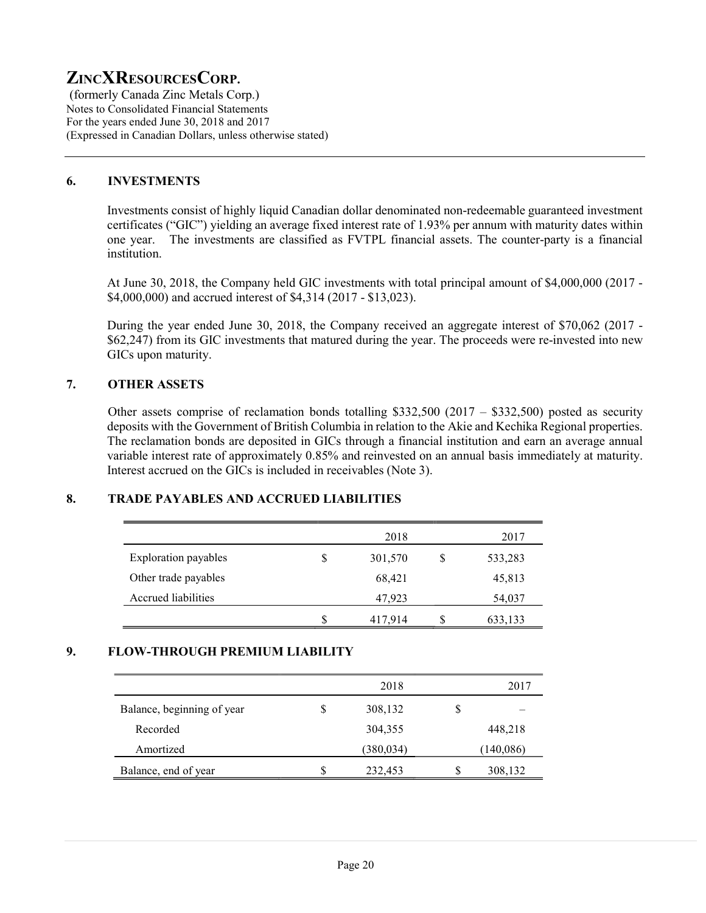(formerly Canada Zinc Metals Corp.) Notes to Consolidated Financial Statements For the years ended June 30, 2018 and 2017 (Expressed in Canadian Dollars, unless otherwise stated)

#### 6. INVESTMENTS

Investments consist of highly liquid Canadian dollar denominated non-redeemable guaranteed investment certificates ("GIC") yielding an average fixed interest rate of 1.93% per annum with maturity dates within one year. The investments are classified as FVTPL financial assets. The counter-party is a financial institution.

At June 30, 2018, the Company held GIC investments with total principal amount of \$4,000,000 (2017 - \$4,000,000) and accrued interest of \$4,314 (2017 - \$13,023).

During the year ended June 30, 2018, the Company received an aggregate interest of \$70,062 (2017 - \$62,247) from its GIC investments that matured during the year. The proceeds were re-invested into new GICs upon maturity.

## 7. OTHER ASSETS

Other assets comprise of reclamation bonds totalling \$332,500 (2017 – \$332,500) posted as security deposits with the Government of British Columbia in relation to the Akie and Kechika Regional properties. The reclamation bonds are deposited in GICs through a financial institution and earn an average annual variable interest rate of approximately 0.85% and reinvested on an annual basis immediately at maturity. Interest accrued on the GICs is included in receivables (Note 3).

### 8. TRADE PAYABLES AND ACCRUED LIABILITIES

|                      |    | 2018    | 2017    |
|----------------------|----|---------|---------|
| Exploration payables | S  | 301,570 | 533,283 |
| Other trade payables |    | 68,421  | 45,813  |
| Accrued liabilities  |    | 47,923  | 54,037  |
|                      | \$ | 417,914 | 633,133 |

#### 9. FLOW-THROUGH PREMIUM LIABILITY

|                            |   | 2018      |   | 2017      |
|----------------------------|---|-----------|---|-----------|
| Balance, beginning of year | S | 308,132   | S |           |
| Recorded                   |   | 304,355   |   | 448,218   |
| Amortized                  |   | (380,034) |   | (140,086) |
| Balance, end of year       | S | 232,453   | S | 308,132   |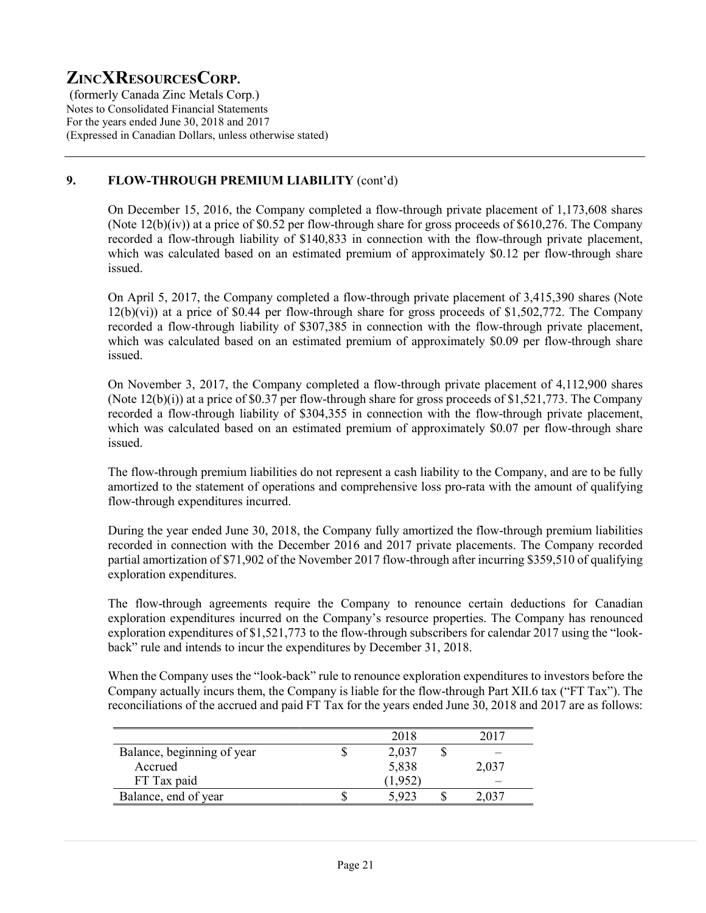(formerly Canada Zinc Metals Corp.) Notes to Consolidated Financial Statements For the years ended June 30, 2018 and 2017 (Expressed in Canadian Dollars, unless otherwise stated)

# 9. FLOW-THROUGH PREMIUM LIABILITY (cont'd)

On December 15, 2016, the Company completed a flow-through private placement of 1,173,608 shares (Note  $12(b)(iv)$ ) at a price of \$0.52 per flow-through share for gross proceeds of \$610,276. The Company recorded a flow-through liability of \$140,833 in connection with the flow-through private placement, which was calculated based on an estimated premium of approximately \$0.12 per flow-through share issued.

On April 5, 2017, the Company completed a flow-through private placement of 3,415,390 shares (Note 12(b)(vi)) at a price of \$0.44 per flow-through share for gross proceeds of \$1,502,772. The Company recorded a flow-through liability of \$307,385 in connection with the flow-through private placement, which was calculated based on an estimated premium of approximately \$0.09 per flow-through share issued.

On November 3, 2017, the Company completed a flow-through private placement of 4,112,900 shares (Note 12(b)(i)) at a price of \$0.37 per flow-through share for gross proceeds of \$1,521,773. The Company recorded a flow-through liability of \$304,355 in connection with the flow-through private placement, which was calculated based on an estimated premium of approximately \$0.07 per flow-through share issued.

The flow-through premium liabilities do not represent a cash liability to the Company, and are to be fully amortized to the statement of operations and comprehensive loss pro-rata with the amount of qualifying flow-through expenditures incurred.

During the year ended June 30, 2018, the Company fully amortized the flow-through premium liabilities recorded in connection with the December 2016 and 2017 private placements. The Company recorded partial amortization of \$71,902 of the November 2017 flow-through after incurring \$359,510 of qualifying exploration expenditures.

The flow-through agreements require the Company to renounce certain deductions for Canadian exploration expenditures incurred on the Company's resource properties. The Company has renounced exploration expenditures of \$1,521,773 to the flow-through subscribers for calendar 2017 using the "lookback" rule and intends to incur the expenditures by December 31, 2018.

When the Company uses the "look-back" rule to renounce exploration expenditures to investors before the Company actually incurs them, the Company is liable for the flow-through Part XII.6 tax ("FT Tax"). The reconciliations of the accrued and paid FT Tax for the years ended June 30, 2018 and 2017 are as follows:

|                            | 2018  |       |
|----------------------------|-------|-------|
| Balance, beginning of year | 2,037 |       |
| Accrued                    | 5,838 | 2,037 |
| FT Tax paid                | 1,952 | _     |
| Balance, end of year       | 5.923 |       |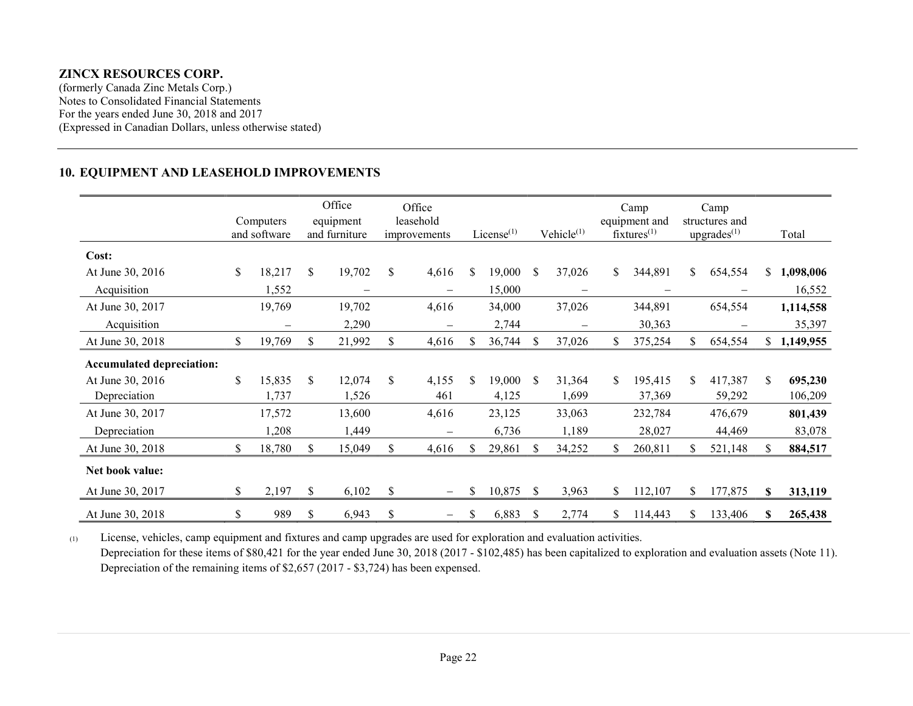(formerly Canada Zinc Metals Corp.) Notes to Consolidated Financial Statements For the years ended June 30, 2018 and 2017 (Expressed in Canadian Dollars, unless otherwise stated)

#### 10. EQUIPMENT AND LEASEHOLD IMPROVEMENTS

|                                  |    | Computers<br>and software |     | Office<br>equipment<br>and furniture |               | Office<br>leasehold<br>improvements |    | License $(1)$ |               | Vehicle $(1)$            |     | Camp<br>equipment and<br>$f$ ixtures $(1)$ |     | Camp<br>structures and<br>upgrades <sup>(1)</sup> |     | Total       |
|----------------------------------|----|---------------------------|-----|--------------------------------------|---------------|-------------------------------------|----|---------------|---------------|--------------------------|-----|--------------------------------------------|-----|---------------------------------------------------|-----|-------------|
| Cost:                            |    |                           |     |                                      |               |                                     |    |               |               |                          |     |                                            |     |                                                   |     |             |
| At June 30, 2016                 | \$ | 18,217                    | \$  | 19,702                               | \$            | 4,616                               | \$ | 19,000        | \$            | 37,026                   | \$  | 344,891                                    | \$. | 654,554                                           | \$  | 1,098,006   |
| Acquisition                      |    | 1,552                     |     | —                                    |               |                                     |    | 15,000        |               |                          |     |                                            |     |                                                   |     | 16,552      |
| At June 30, 2017                 |    | 19,769                    |     | 19,702                               |               | 4,616                               |    | 34,000        |               | 37,026                   |     | 344,891                                    |     | 654,554                                           |     | 1,114,558   |
| Acquisition                      |    |                           |     | 2,290                                |               |                                     |    | 2,744         |               | $\overline{\phantom{m}}$ |     | 30,363                                     |     |                                                   |     | 35,397      |
| At June 30, 2018                 | \$ | 19,769                    | S   | 21,992                               | \$            | 4,616                               | S. | 36,744        | S             | 37,026                   | \$  | 375,254                                    | S.  | 654,554                                           |     | \$1,149,955 |
| <b>Accumulated depreciation:</b> |    |                           |     |                                      |               |                                     |    |               |               |                          |     |                                            |     |                                                   |     |             |
| At June 30, 2016                 | \$ | 15,835                    | \$. | 12,074                               | \$            | 4,155                               | S. | 19,000        | \$.           | 31,364                   | \$. | 195,415                                    | S.  | 417,387                                           | \$  | 695,230     |
| Depreciation                     |    | 1,737                     |     | 1,526                                |               | 461                                 |    | 4,125         |               | 1,699                    |     | 37,369                                     |     | 59,292                                            |     | 106,209     |
| At June 30, 2017                 |    | 17,572                    |     | 13,600                               |               | 4,616                               |    | 23,125        |               | 33,063                   |     | 232,784                                    |     | 476,679                                           |     | 801,439     |
| Depreciation                     |    | 1,208                     |     | 1,449                                |               |                                     |    | 6,736         |               | 1,189                    |     | 28,027                                     |     | 44,469                                            |     | 83,078      |
| At June 30, 2018                 | S. | 18,780                    | \$. | 15,049                               | <sup>\$</sup> | 4,616                               | S. | 29,861        | S             | 34,252                   | \$. | 260,811                                    |     | 521,148                                           | \$. | 884,517     |
| Net book value:                  |    |                           |     |                                      |               |                                     |    |               |               |                          |     |                                            |     |                                                   |     |             |
| At June 30, 2017                 | \$ | 2,197                     | S   | 6,102                                | \$            | —                                   | S  | 10,875        | <sup>\$</sup> | 3,963                    | \$  | 112,107                                    | S.  | 177,875                                           | \$  | 313,119     |
| At June 30, 2018                 | \$ | 989                       | \$  | 6,943                                | \$            |                                     | \$ | 6,883         | S             | 2,774                    | \$  | 114,443                                    | S   | 133,406                                           | S   | 265,438     |

(1) License, vehicles, camp equipment and fixtures and camp upgrades are used for exploration and evaluation activities. Depreciation for these items of \$80,421 for the year ended June 30, 2018 (2017 - \$102,485) has been capitalized to exploration and evaluation assets (Note 11). Depreciation of the remaining items of \$2,657 (2017 - \$3,724) has been expensed.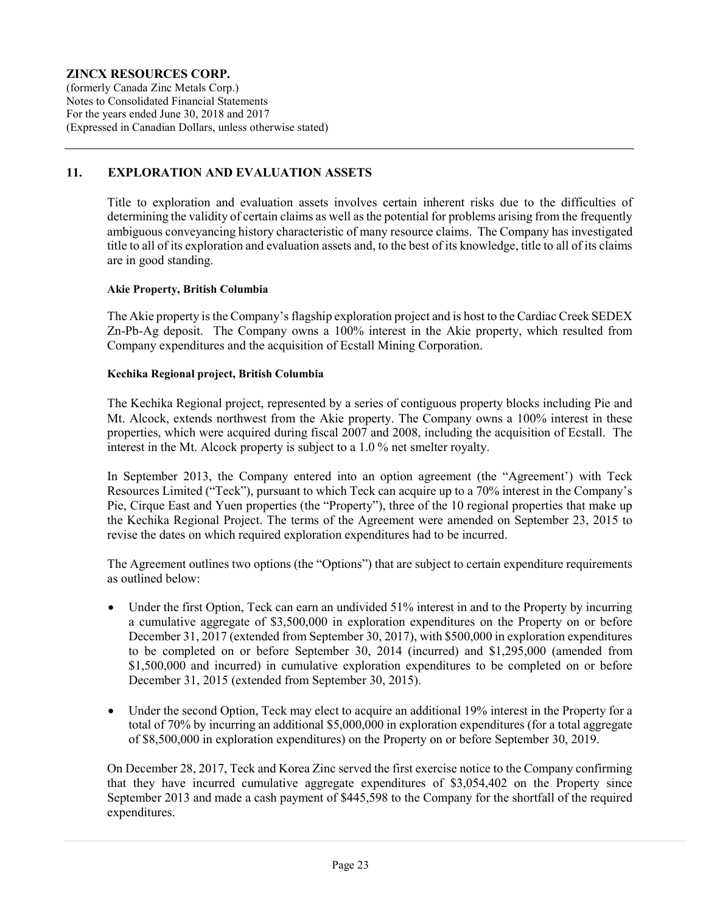(formerly Canada Zinc Metals Corp.) Notes to Consolidated Financial Statements For the years ended June 30, 2018 and 2017 (Expressed in Canadian Dollars, unless otherwise stated)

### 11. EXPLORATION AND EVALUATION ASSETS

Title to exploration and evaluation assets involves certain inherent risks due to the difficulties of determining the validity of certain claims as well as the potential for problems arising from the frequently ambiguous conveyancing history characteristic of many resource claims. The Company has investigated title to all of its exploration and evaluation assets and, to the best of its knowledge, title to all of its claims are in good standing.

#### Akie Property, British Columbia

The Akie property is the Company's flagship exploration project and is host to the Cardiac Creek SEDEX Zn-Pb-Ag deposit. The Company owns a 100% interest in the Akie property, which resulted from Company expenditures and the acquisition of Ecstall Mining Corporation.

#### Kechika Regional project, British Columbia

The Kechika Regional project, represented by a series of contiguous property blocks including Pie and Mt. Alcock, extends northwest from the Akie property. The Company owns a 100% interest in these properties, which were acquired during fiscal 2007 and 2008, including the acquisition of Ecstall. The interest in the Mt. Alcock property is subject to a 1.0 % net smelter royalty.

In September 2013, the Company entered into an option agreement (the "Agreement') with Teck Resources Limited ("Teck"), pursuant to which Teck can acquire up to a 70% interest in the Company's Pie, Cirque East and Yuen properties (the "Property"), three of the 10 regional properties that make up the Kechika Regional Project. The terms of the Agreement were amended on September 23, 2015 to revise the dates on which required exploration expenditures had to be incurred.

The Agreement outlines two options (the "Options") that are subject to certain expenditure requirements as outlined below:

- Under the first Option, Teck can earn an undivided 51% interest in and to the Property by incurring a cumulative aggregate of \$3,500,000 in exploration expenditures on the Property on or before December 31, 2017 (extended from September 30, 2017), with \$500,000 in exploration expenditures to be completed on or before September 30, 2014 (incurred) and \$1,295,000 (amended from \$1,500,000 and incurred) in cumulative exploration expenditures to be completed on or before December 31, 2015 (extended from September 30, 2015).
- Under the second Option, Teck may elect to acquire an additional 19% interest in the Property for a total of 70% by incurring an additional \$5,000,000 in exploration expenditures (for a total aggregate of \$8,500,000 in exploration expenditures) on the Property on or before September 30, 2019.

On December 28, 2017, Teck and Korea Zinc served the first exercise notice to the Company confirming that they have incurred cumulative aggregate expenditures of \$3,054,402 on the Property since September 2013 and made a cash payment of \$445,598 to the Company for the shortfall of the required expenditures.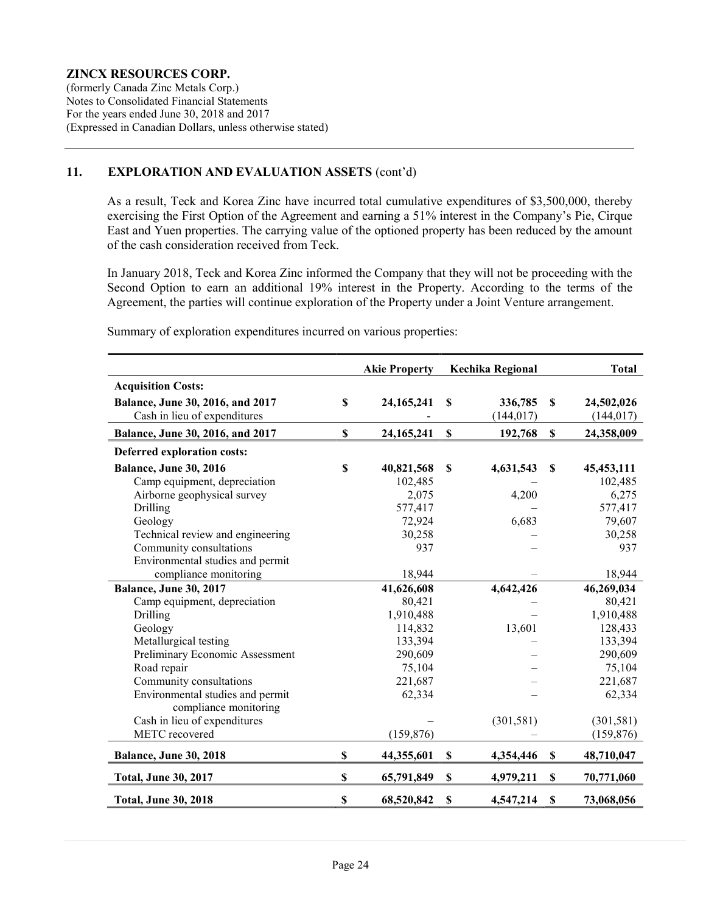(formerly Canada Zinc Metals Corp.) Notes to Consolidated Financial Statements For the years ended June 30, 2018 and 2017 (Expressed in Canadian Dollars, unless otherwise stated)

#### 11. EXPLORATION AND EVALUATION ASSETS (cont'd)

As a result, Teck and Korea Zinc have incurred total cumulative expenditures of \$3,500,000, thereby exercising the First Option of the Agreement and earning a 51% interest in the Company's Pie, Cirque East and Yuen properties. The carrying value of the optioned property has been reduced by the amount of the cash consideration received from Teck.

In January 2018, Teck and Korea Zinc informed the Company that they will not be proceeding with the Second Option to earn an additional 19% interest in the Property. According to the terms of the Agreement, the parties will continue exploration of the Property under a Joint Venture arrangement.

|                                  |                           | <b>Akie Property</b> |                           | Kechika Regional |             | <b>Total</b> |
|----------------------------------|---------------------------|----------------------|---------------------------|------------------|-------------|--------------|
| <b>Acquisition Costs:</b>        |                           |                      |                           |                  |             |              |
| Balance, June 30, 2016, and 2017 | \$                        | 24, 165, 241         | S                         | 336,785          | S           | 24,502,026   |
| Cash in lieu of expenditures     |                           |                      |                           | (144, 017)       |             | (144, 017)   |
| Balance, June 30, 2016, and 2017 | \$                        | 24, 165, 241         | $\mathbf S$               | 192,768          | $\mathbf S$ | 24,358,009   |
| Deferred exploration costs:      |                           |                      |                           |                  |             |              |
| <b>Balance, June 30, 2016</b>    | $\boldsymbol{\mathsf{S}}$ | 40,821,568           | <b>S</b>                  | 4,631,543        | \$          | 45, 453, 111 |
| Camp equipment, depreciation     |                           | 102,485              |                           |                  |             | 102,485      |
| Airborne geophysical survey      |                           | 2,075                |                           | 4,200            |             | 6,275        |
| Drilling                         |                           | 577,417              |                           |                  |             | 577,417      |
| Geology                          |                           | 72,924               |                           | 6,683            |             | 79,607       |
| Technical review and engineering |                           | 30,258               |                           |                  |             | 30,258       |
| Community consultations          |                           | 937                  |                           |                  |             | 937          |
| Environmental studies and permit |                           |                      |                           |                  |             |              |
| compliance monitoring            |                           | 18,944               |                           |                  |             | 18,944       |
| <b>Balance, June 30, 2017</b>    |                           | 41,626,608           |                           | 4,642,426        |             | 46,269,034   |
| Camp equipment, depreciation     |                           | 80,421               |                           |                  |             | 80,421       |
| Drilling                         |                           | 1,910,488            |                           |                  |             | 1,910,488    |
| Geology                          |                           | 114,832              |                           | 13,601           |             | 128,433      |
| Metallurgical testing            |                           | 133,394              |                           |                  |             | 133,394      |
| Preliminary Economic Assessment  |                           | 290,609              |                           |                  |             | 290,609      |
| Road repair                      |                           | 75,104               |                           |                  |             | 75,104       |
| Community consultations          |                           | 221,687              |                           |                  |             | 221,687      |
| Environmental studies and permit |                           | 62,334               |                           |                  |             | 62,334       |
| compliance monitoring            |                           |                      |                           |                  |             |              |
| Cash in lieu of expenditures     |                           |                      |                           | (301, 581)       |             | (301, 581)   |
| METC recovered                   |                           | (159, 876)           |                           |                  |             | (159, 876)   |
| Balance, June 30, 2018           | $\boldsymbol{\mathsf{S}}$ | 44,355,601           | \$                        | 4,354,446        | \$          | 48,710,047   |
| <b>Total, June 30, 2017</b>      | \$                        | 65,791,849           | $\boldsymbol{\mathsf{S}}$ | 4,979,211        | $\mathbb S$ | 70,771,060   |
| <b>Total, June 30, 2018</b>      | \$                        | 68,520,842           | \$                        | 4,547,214        | \$          | 73,068,056   |

Summary of exploration expenditures incurred on various properties: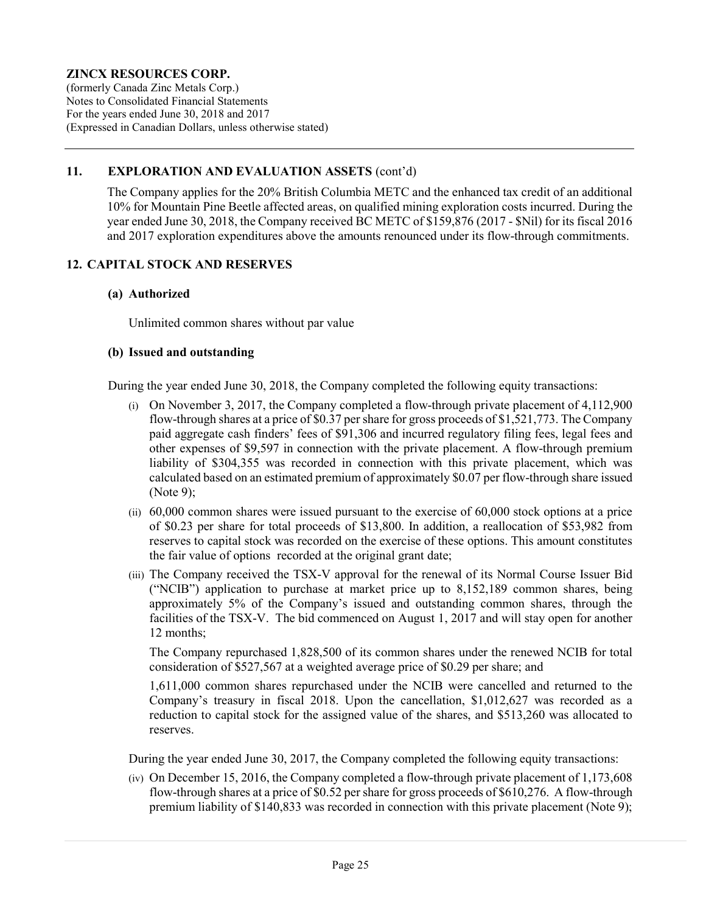(formerly Canada Zinc Metals Corp.) Notes to Consolidated Financial Statements For the years ended June 30, 2018 and 2017 (Expressed in Canadian Dollars, unless otherwise stated)

### 11. EXPLORATION AND EVALUATION ASSETS (cont'd)

The Company applies for the 20% British Columbia METC and the enhanced tax credit of an additional 10% for Mountain Pine Beetle affected areas, on qualified mining exploration costs incurred. During the year ended June 30, 2018, the Company received BC METC of \$159,876 (2017 - \$Nil) for its fiscal 2016 and 2017 exploration expenditures above the amounts renounced under its flow-through commitments.

#### 12. CAPITAL STOCK AND RESERVES

#### (a) Authorized

Unlimited common shares without par value

#### (b) Issued and outstanding

During the year ended June 30, 2018, the Company completed the following equity transactions:

- (i) On November 3, 2017, the Company completed a flow-through private placement of 4,112,900 flow-through shares at a price of \$0.37 per share for gross proceeds of \$1,521,773. The Company paid aggregate cash finders' fees of \$91,306 and incurred regulatory filing fees, legal fees and other expenses of \$9,597 in connection with the private placement. A flow-through premium liability of \$304,355 was recorded in connection with this private placement, which was calculated based on an estimated premium of approximately \$0.07 per flow-through share issued (Note 9);
- (ii) 60,000 common shares were issued pursuant to the exercise of 60,000 stock options at a price of \$0.23 per share for total proceeds of \$13,800. In addition, a reallocation of \$53,982 from reserves to capital stock was recorded on the exercise of these options. This amount constitutes the fair value of options recorded at the original grant date;
- (iii) The Company received the TSX-V approval for the renewal of its Normal Course Issuer Bid ("NCIB") application to purchase at market price up to 8,152,189 common shares, being approximately 5% of the Company's issued and outstanding common shares, through the facilities of the TSX-V. The bid commenced on August 1, 2017 and will stay open for another 12 months;

The Company repurchased 1,828,500 of its common shares under the renewed NCIB for total consideration of \$527,567 at a weighted average price of \$0.29 per share; and

1,611,000 common shares repurchased under the NCIB were cancelled and returned to the Company's treasury in fiscal 2018. Upon the cancellation, \$1,012,627 was recorded as a reduction to capital stock for the assigned value of the shares, and \$513,260 was allocated to reserves.

During the year ended June 30, 2017, the Company completed the following equity transactions:

(iv) On December 15, 2016, the Company completed a flow-through private placement of 1,173,608 flow-through shares at a price of \$0.52 per share for gross proceeds of \$610,276. A flow-through premium liability of \$140,833 was recorded in connection with this private placement (Note 9);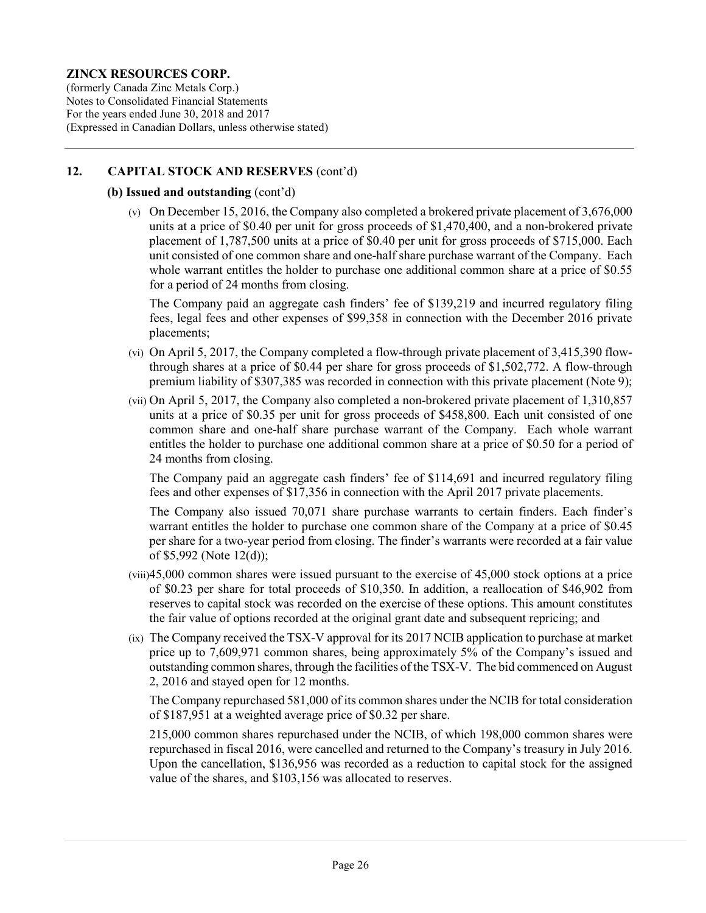(formerly Canada Zinc Metals Corp.) Notes to Consolidated Financial Statements For the years ended June 30, 2018 and 2017 (Expressed in Canadian Dollars, unless otherwise stated)

### 12. CAPITAL STOCK AND RESERVES (cont'd)

#### (b) Issued and outstanding (cont'd)

(v) On December 15, 2016, the Company also completed a brokered private placement of 3,676,000 units at a price of \$0.40 per unit for gross proceeds of \$1,470,400, and a non-brokered private placement of 1,787,500 units at a price of \$0.40 per unit for gross proceeds of \$715,000. Each unit consisted of one common share and one-half share purchase warrant of the Company. Each whole warrant entitles the holder to purchase one additional common share at a price of \$0.55 for a period of 24 months from closing.

The Company paid an aggregate cash finders' fee of \$139,219 and incurred regulatory filing fees, legal fees and other expenses of \$99,358 in connection with the December 2016 private placements;

- (vi) On April 5, 2017, the Company completed a flow-through private placement of 3,415,390 flowthrough shares at a price of \$0.44 per share for gross proceeds of \$1,502,772. A flow-through premium liability of \$307,385 was recorded in connection with this private placement (Note 9);
- (vii) On April 5, 2017, the Company also completed a non-brokered private placement of 1,310,857 units at a price of \$0.35 per unit for gross proceeds of \$458,800. Each unit consisted of one common share and one-half share purchase warrant of the Company. Each whole warrant entitles the holder to purchase one additional common share at a price of \$0.50 for a period of 24 months from closing.

The Company paid an aggregate cash finders' fee of \$114,691 and incurred regulatory filing fees and other expenses of \$17,356 in connection with the April 2017 private placements.

The Company also issued 70,071 share purchase warrants to certain finders. Each finder's warrant entitles the holder to purchase one common share of the Company at a price of \$0.45 per share for a two-year period from closing. The finder's warrants were recorded at a fair value of \$5,992 (Note 12(d));

- (viii)45,000 common shares were issued pursuant to the exercise of 45,000 stock options at a price of \$0.23 per share for total proceeds of \$10,350. In addition, a reallocation of \$46,902 from reserves to capital stock was recorded on the exercise of these options. This amount constitutes the fair value of options recorded at the original grant date and subsequent repricing; and
- (ix) The Company received the TSX-V approval for its 2017 NCIB application to purchase at market price up to 7,609,971 common shares, being approximately 5% of the Company's issued and outstanding common shares, through the facilities of the TSX-V. The bid commenced on August 2, 2016 and stayed open for 12 months.

The Company repurchased 581,000 of its common shares under the NCIB for total consideration of \$187,951 at a weighted average price of \$0.32 per share.

215,000 common shares repurchased under the NCIB, of which 198,000 common shares were repurchased in fiscal 2016, were cancelled and returned to the Company's treasury in July 2016. Upon the cancellation, \$136,956 was recorded as a reduction to capital stock for the assigned value of the shares, and \$103,156 was allocated to reserves.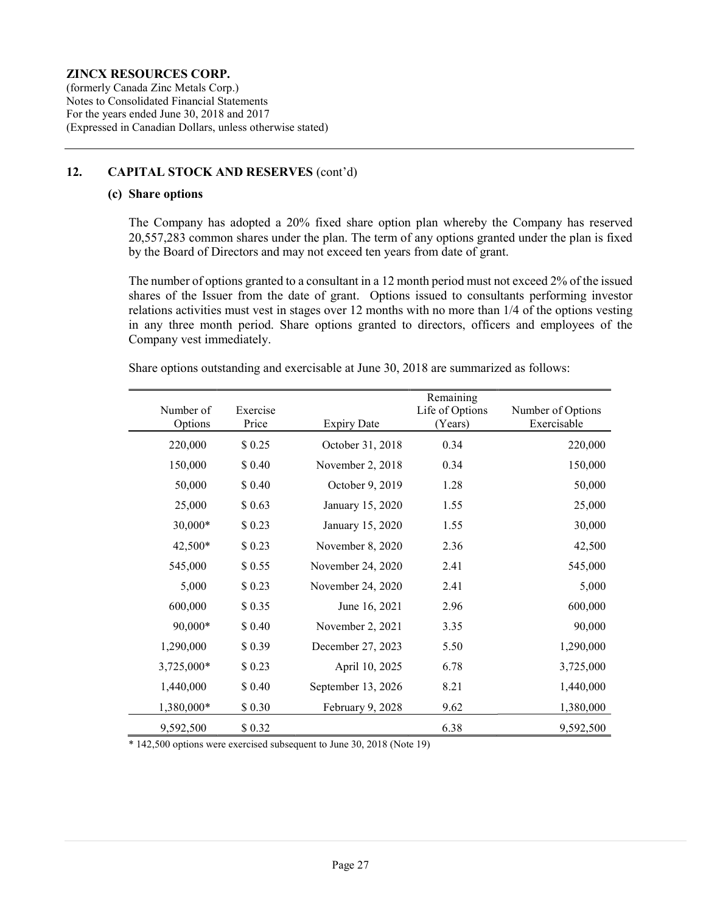(formerly Canada Zinc Metals Corp.) Notes to Consolidated Financial Statements For the years ended June 30, 2018 and 2017 (Expressed in Canadian Dollars, unless otherwise stated)

#### 12. CAPITAL STOCK AND RESERVES (cont'd)

#### (c) Share options

 The Company has adopted a 20% fixed share option plan whereby the Company has reserved 20,557,283 common shares under the plan. The term of any options granted under the plan is fixed by the Board of Directors and may not exceed ten years from date of grant.

 The number of options granted to a consultant in a 12 month period must not exceed 2% of the issued shares of the Issuer from the date of grant. Options issued to consultants performing investor relations activities must vest in stages over 12 months with no more than 1/4 of the options vesting in any three month period. Share options granted to directors, officers and employees of the Company vest immediately.

|  |  |  |  | Share options outstanding and exercisable at June 30, 2018 are summarized as follows: |
|--|--|--|--|---------------------------------------------------------------------------------------|
|--|--|--|--|---------------------------------------------------------------------------------------|

|                      |                   |                    | Remaining                  |                                  |
|----------------------|-------------------|--------------------|----------------------------|----------------------------------|
| Number of<br>Options | Exercise<br>Price | <b>Expiry Date</b> | Life of Options<br>(Years) | Number of Options<br>Exercisable |
| 220,000              | \$0.25            | October 31, 2018   | 0.34                       | 220,000                          |
| 150,000              | \$ 0.40           | November 2, 2018   | 0.34                       | 150,000                          |
| 50,000               | \$0.40            | October 9, 2019    | 1.28                       | 50,000                           |
| 25,000               | \$0.63            | January 15, 2020   | 1.55                       | 25,000                           |
| 30,000*              | \$0.23            | January 15, 2020   | 1.55                       | 30,000                           |
| 42,500*              | \$0.23            | November 8, 2020   | 2.36                       | 42,500                           |
| 545,000              | \$0.55            | November 24, 2020  | 2.41                       | 545,000                          |
| 5,000                | \$0.23            | November 24, 2020  | 2.41                       | 5,000                            |
| 600,000              | \$0.35            | June 16, 2021      | 2.96                       | 600,000                          |
| 90,000*              | \$ 0.40           | November 2, 2021   | 3.35                       | 90,000                           |
| 1,290,000            | \$0.39            | December 27, 2023  | 5.50                       | 1,290,000                        |
| 3,725,000*           | \$0.23            | April 10, 2025     | 6.78                       | 3,725,000                        |
| 1,440,000            | \$ 0.40           | September 13, 2026 | 8.21                       | 1,440,000                        |
| 1,380,000*           | \$0.30            | February 9, 2028   | 9.62                       | 1,380,000                        |
| 9,592,500            | \$0.32            |                    | 6.38                       | 9,592,500                        |

\* 142,500 options were exercised subsequent to June 30, 2018 (Note 19)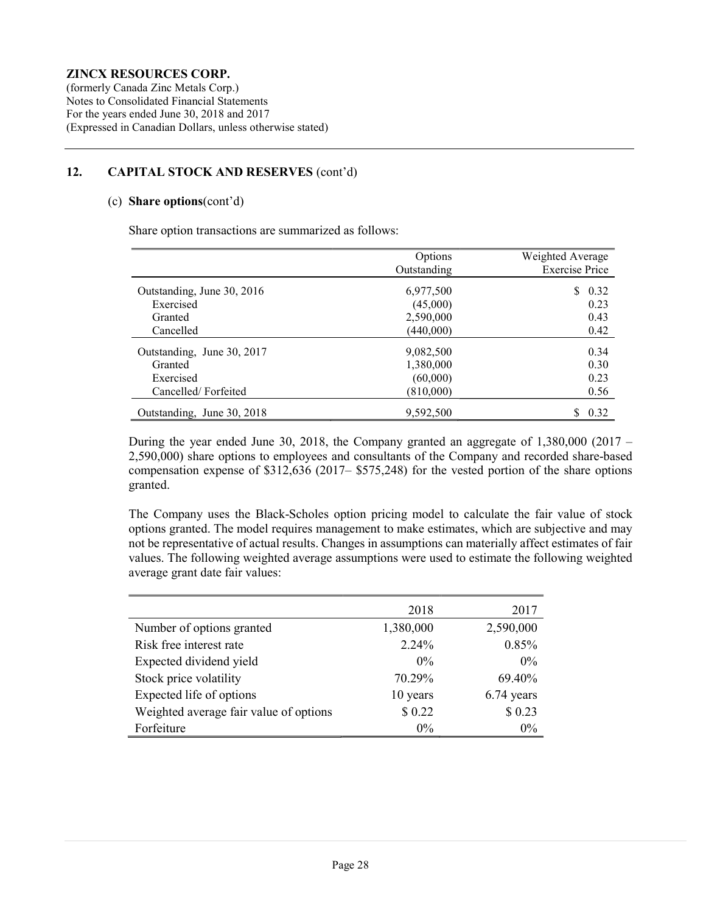(formerly Canada Zinc Metals Corp.) Notes to Consolidated Financial Statements For the years ended June 30, 2018 and 2017 (Expressed in Canadian Dollars, unless otherwise stated)

### 12. CAPITAL STOCK AND RESERVES (cont'd)

#### (c) Share options(cont'd)

Share option transactions are summarized as follows:

|                            | Options     | Weighted Average      |
|----------------------------|-------------|-----------------------|
|                            | Outstanding | <b>Exercise Price</b> |
| Outstanding, June 30, 2016 | 6,977,500   | S.<br>0.32            |
| Exercised                  | (45,000)    | 0.23                  |
| Granted                    | 2,590,000   | 0.43                  |
| Cancelled                  | (440,000)   | 0.42                  |
| Outstanding, June 30, 2017 | 9,082,500   | 0.34                  |
| Granted                    | 1,380,000   | 0.30                  |
| Exercised                  | (60,000)    | 0.23                  |
| Cancelled/Forfeited        | (810,000)   | 0.56                  |
| Outstanding, June 30, 2018 | 9,592,500   | 0.32                  |

During the year ended June 30, 2018, the Company granted an aggregate of 1,380,000 (2017 – 2,590,000) share options to employees and consultants of the Company and recorded share-based compensation expense of \$312,636 (2017– \$575,248) for the vested portion of the share options granted.

The Company uses the Black-Scholes option pricing model to calculate the fair value of stock options granted. The model requires management to make estimates, which are subjective and may not be representative of actual results. Changes in assumptions can materially affect estimates of fair values. The following weighted average assumptions were used to estimate the following weighted average grant date fair values:

|                                        | 2018      | 2017       |
|----------------------------------------|-----------|------------|
| Number of options granted              | 1,380,000 | 2,590,000  |
| Risk free interest rate                | 2.24%     | 0.85%      |
| Expected dividend yield                | $0\%$     | $0\%$      |
| Stock price volatility                 | 70.29%    | 69.40%     |
| Expected life of options               | 10 years  | 6.74 years |
| Weighted average fair value of options | \$0.22    | \$0.23     |
| Forfeiture                             | $0\%$     | $0\%$      |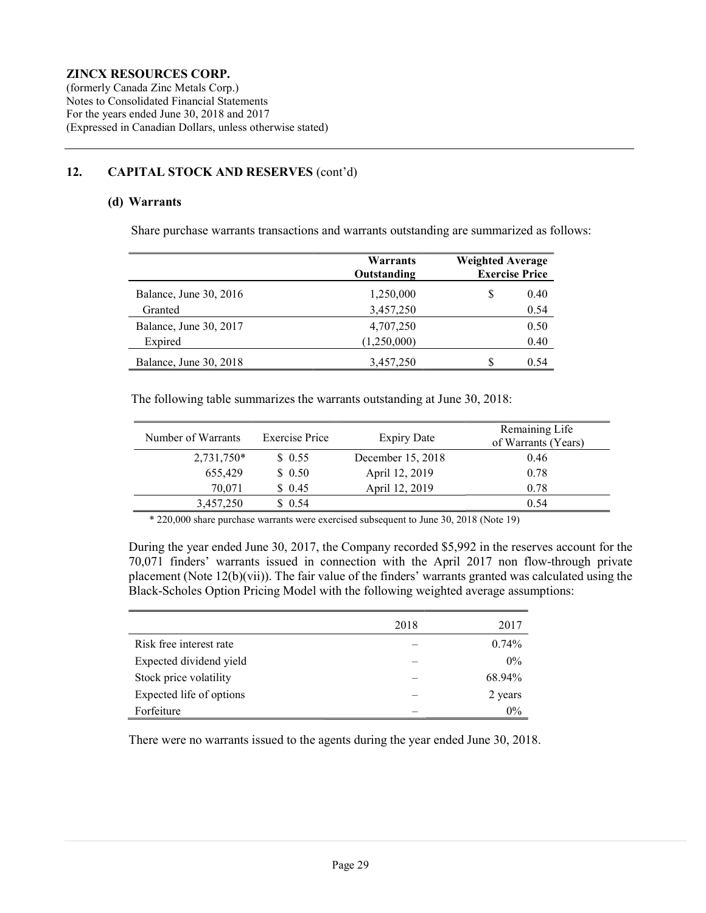(formerly Canada Zinc Metals Corp.) Notes to Consolidated Financial Statements For the years ended June 30, 2018 and 2017 (Expressed in Canadian Dollars, unless otherwise stated)

## 12. CAPITAL STOCK AND RESERVES (cont'd)

#### (d) Warrants

Share purchase warrants transactions and warrants outstanding are summarized as follows:

|                        | Warrants<br>Outstanding | <b>Weighted Average</b><br><b>Exercise Price</b> |  |
|------------------------|-------------------------|--------------------------------------------------|--|
| Balance, June 30, 2016 | 1,250,000               | \$<br>0.40                                       |  |
| Granted                | 3,457,250               | 0.54                                             |  |
| Balance, June 30, 2017 | 4,707,250               | 0.50                                             |  |
| Expired                | (1,250,000)             | 0.40                                             |  |
| Balance, June 30, 2018 | 3,457,250               | S<br>0.54                                        |  |

The following table summarizes the warrants outstanding at June 30, 2018:

| Number of Warrants | <b>Exercise Price</b> | <b>Expiry Date</b> | Remaining Life<br>of Warrants (Years) |
|--------------------|-----------------------|--------------------|---------------------------------------|
| $2,731,750*$       | \$0.55                | December 15, 2018  | 0.46                                  |
| 655,429            | \$0.50                | April 12, 2019     | 0.78                                  |
| 70,071             | \$0.45                | April 12, 2019     | 0.78                                  |
| 3,457,250          | \$0.54                |                    | 0.54                                  |

\* 220,000 share purchase warrants were exercised subsequent to June 30, 2018 (Note 19)

During the year ended June 30, 2017, the Company recorded \$5,992 in the reserves account for the 70,071 finders' warrants issued in connection with the April 2017 non flow-through private placement (Note 12(b)(vii)). The fair value of the finders' warrants granted was calculated using the Black-Scholes Option Pricing Model with the following weighted average assumptions:

|                          | 2018 | 2017    |
|--------------------------|------|---------|
| Risk free interest rate  |      | 0.74%   |
| Expected dividend yield  |      | $0\%$   |
| Stock price volatility   |      | 68.94%  |
| Expected life of options |      | 2 years |
| Forfeiture               |      | $0\%$   |

There were no warrants issued to the agents during the year ended June 30, 2018.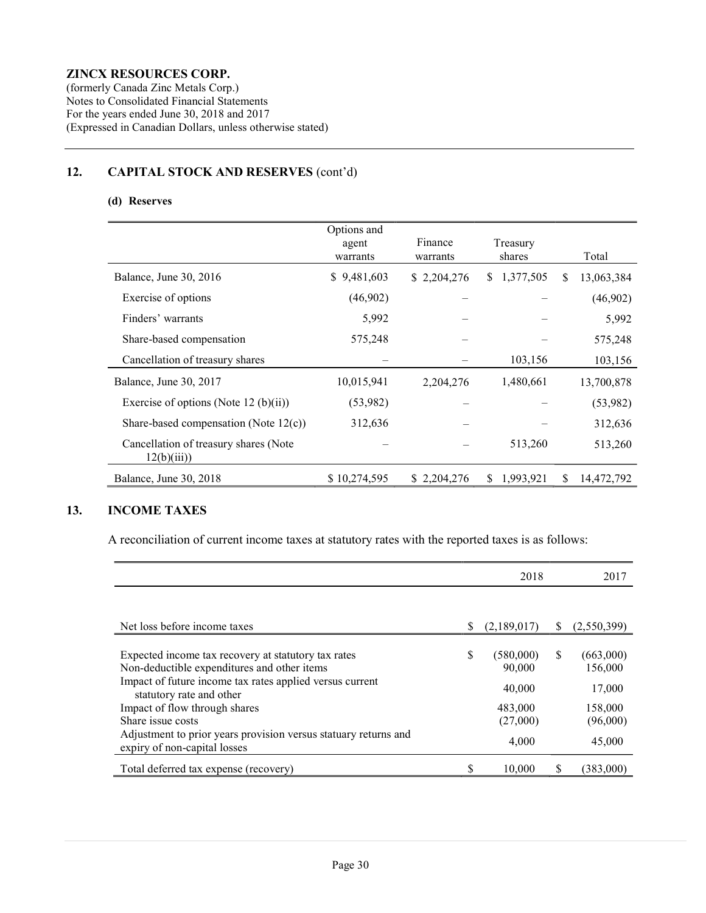(formerly Canada Zinc Metals Corp.) Notes to Consolidated Financial Statements For the years ended June 30, 2018 and 2017 (Expressed in Canadian Dollars, unless otherwise stated)

# 12. CAPITAL STOCK AND RESERVES (cont'd)

#### (d) Reserves

|                                                      | Options and<br>agent<br>warrants | Finance<br>warrants | Treasury<br>shares |     | Total      |
|------------------------------------------------------|----------------------------------|---------------------|--------------------|-----|------------|
| Balance, June 30, 2016                               | 9,481,603<br>S.                  | \$2,204,276         | \$1,377,505        | \$. | 13,063,384 |
| Exercise of options                                  | (46,902)                         |                     |                    |     | (46,902)   |
| Finders' warrants                                    | 5,992                            |                     |                    |     | 5,992      |
| Share-based compensation                             | 575,248                          |                     |                    |     | 575,248    |
| Cancellation of treasury shares                      |                                  |                     | 103,156            |     | 103,156    |
| Balance, June 30, 2017                               | 10,015,941                       | 2,204,276           | 1,480,661          |     | 13,700,878 |
| Exercise of options (Note 12 (b)(ii))                | (53,982)                         |                     |                    |     | (53,982)   |
| Share-based compensation (Note 12(c))                | 312,636                          |                     |                    |     | 312,636    |
| Cancellation of treasury shares (Note)<br>12(b)(iii) |                                  |                     | 513,260            |     | 513,260    |
| Balance, June 30, 2018                               | \$10,274,595                     | \$2,204,276         | 1,993,921<br>S.    | S   | 14,472,792 |

## 13. INCOME TAXES

A reconciliation of current income taxes at statutory rates with the reported taxes is as follows:

|                                                                                                 |    | 2018        | 2017         |             |
|-------------------------------------------------------------------------------------------------|----|-------------|--------------|-------------|
|                                                                                                 |    |             |              |             |
|                                                                                                 |    |             |              |             |
| Net loss before income taxes                                                                    | S  | (2,189,017) | <sup>S</sup> | (2,550,399) |
|                                                                                                 |    |             |              |             |
| Expected income tax recovery at statutory tax rates                                             | \$ | (580,000)   | S            | (663,000)   |
| Non-deductible expenditures and other items                                                     |    | 90,000      |              | 156,000     |
| Impact of future income tax rates applied versus current<br>statutory rate and other            |    | 40,000      |              | 17,000      |
| Impact of flow through shares                                                                   |    | 483,000     |              | 158,000     |
| Share issue costs                                                                               |    | (27,000)    |              | (96,000)    |
| Adjustment to prior years provision versus statuary returns and<br>expiry of non-capital losses |    | 4,000       |              | 45,000      |
| Total deferred tax expense (recovery)                                                           |    | 10,000      | S            | (383,000)   |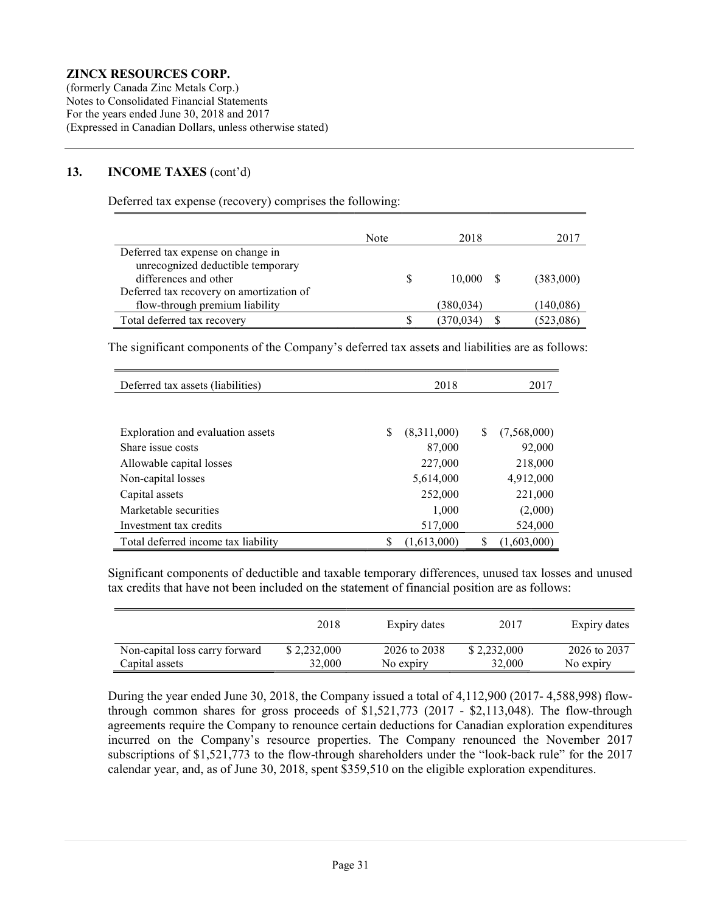(formerly Canada Zinc Metals Corp.) Notes to Consolidated Financial Statements For the years ended June 30, 2018 and 2017 (Expressed in Canadian Dollars, unless otherwise stated)

#### 13. INCOME TAXES (cont'd)

Deferred tax expense (recovery) comprises the following:

|                                          | Note | 2018      | 2017      |
|------------------------------------------|------|-----------|-----------|
| Deferred tax expense on change in        |      |           |           |
| unrecognized deductible temporary        |      |           |           |
| differences and other                    |      | 10,000 S  | (383,000) |
| Deferred tax recovery on amortization of |      |           |           |
| flow-through premium liability           |      | (380,034) | (140,086) |
| Total deferred tax recovery              |      | (370.034) | (523,086) |

The significant components of the Company's deferred tax assets and liabilities are as follows:

| Deferred tax assets (liabilities)   | 2018             | 2017               |
|-------------------------------------|------------------|--------------------|
|                                     |                  |                    |
| Exploration and evaluation assets   | S<br>(8,311,000) | (7,568,000)<br>S   |
| Share issue costs                   | 87,000           | 92,000             |
| Allowable capital losses            | 227,000          | 218,000            |
| Non-capital losses                  | 5,614,000        | 4,912,000          |
| Capital assets                      | 252,000          | 221,000            |
| Marketable securities               | 1,000            | (2,000)            |
| Investment tax credits              | 517,000          | 524,000            |
| Total deferred income tax liability | S<br>(1,613,000) | (1,603,000)<br>\$. |

Significant components of deductible and taxable temporary differences, unused tax losses and unused tax credits that have not been included on the statement of financial position are as follows:

|                                | 2018        | Expiry dates | 2017        | Expiry dates |
|--------------------------------|-------------|--------------|-------------|--------------|
| Non-capital loss carry forward | \$2,232,000 | 2026 to 2038 | \$2,232,000 | 2026 to 2037 |
| Capital assets                 | 32,000      | No expiry    | 32,000      | No expiry    |

During the year ended June 30, 2018, the Company issued a total of 4,112,900 (2017- 4,588,998) flowthrough common shares for gross proceeds of \$1,521,773 (2017 - \$2,113,048). The flow-through agreements require the Company to renounce certain deductions for Canadian exploration expenditures incurred on the Company's resource properties. The Company renounced the November 2017 subscriptions of \$1,521,773 to the flow-through shareholders under the "look-back rule" for the 2017 calendar year, and, as of June 30, 2018, spent \$359,510 on the eligible exploration expenditures.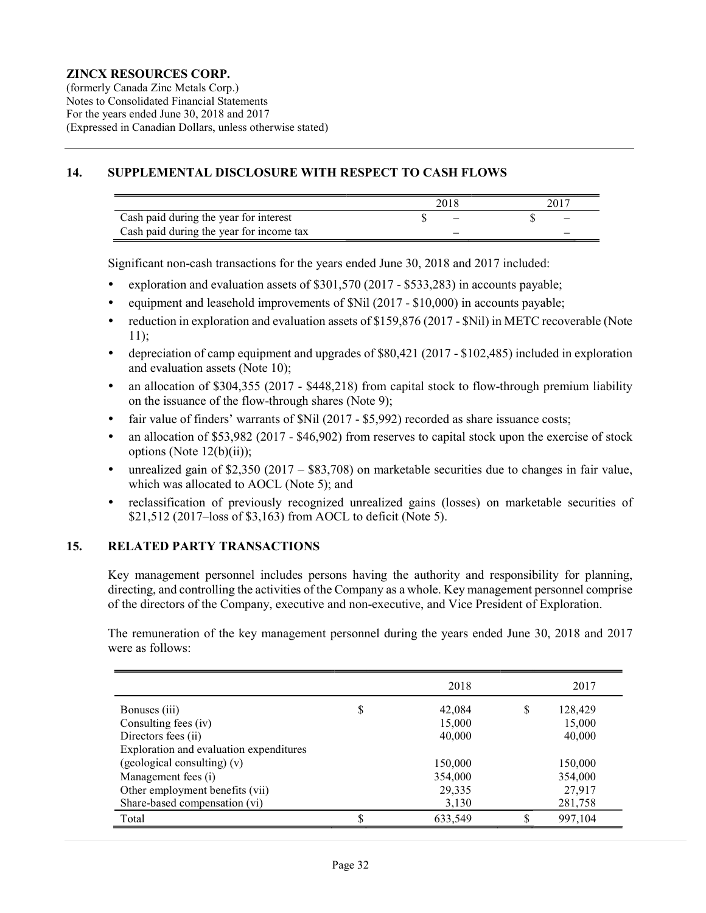(formerly Canada Zinc Metals Corp.) Notes to Consolidated Financial Statements For the years ended June 30, 2018 and 2017 (Expressed in Canadian Dollars, unless otherwise stated)

#### 14. SUPPLEMENTAL DISCLOSURE WITH RESPECT TO CASH FLOWS

|                                          | 2018 |  |
|------------------------------------------|------|--|
| Cash paid during the year for interest   |      |  |
| Cash paid during the year for income tax |      |  |

Significant non-cash transactions for the years ended June 30, 2018 and 2017 included:

- exploration and evaluation assets of \$301,570 (2017 \$533,283) in accounts payable;
- equipment and leasehold improvements of  $\text{Nil}$  (2017 \$10,000) in accounts payable;
- reduction in exploration and evaluation assets of \$159,876 (2017 \$Nil) in METC recoverable (Note 11);
- depreciation of camp equipment and upgrades of \$80,421 (2017 \$102,485) included in exploration and evaluation assets (Note 10);
- an allocation of \$304,355 (2017 \$448,218) from capital stock to flow-through premium liability on the issuance of the flow-through shares (Note 9);
- fair value of finders' warrants of \$Nil (2017 \$5,992) recorded as share issuance costs;
- an allocation of \$53,982 (2017 \$46,902) from reserves to capital stock upon the exercise of stock options (Note  $12(b)(ii)$ );
- unrealized gain of \$2,350 (2017 \$83,708) on marketable securities due to changes in fair value, which was allocated to AOCL (Note 5); and
- reclassification of previously recognized unrealized gains (losses) on marketable securities of \$21,512 (2017–loss of \$3,163) from AOCL to deficit (Note 5).

#### 15. RELATED PARTY TRANSACTIONS

Key management personnel includes persons having the authority and responsibility for planning, directing, and controlling the activities of the Company as a whole. Key management personnel comprise of the directors of the Company, executive and non-executive, and Vice President of Exploration.

The remuneration of the key management personnel during the years ended June 30, 2018 and 2017 were as follows:

|                                         | 2018          |   | 2017    |
|-----------------------------------------|---------------|---|---------|
| Bonuses (iii)                           | \$<br>42,084  | S | 128,429 |
| Consulting fees (iv)                    | 15,000        |   | 15,000  |
| Directors fees (ii)                     | 40,000        |   | 40,000  |
| Exploration and evaluation expenditures |               |   |         |
| (geological consulting) (v)             | 150,000       |   | 150,000 |
| Management fees (i)                     | 354,000       |   | 354,000 |
| Other employment benefits (vii)         | 29,335        |   | 27,917  |
| Share-based compensation (vi)           | 3,130         |   | 281,758 |
| Total                                   | \$<br>633,549 |   | 997,104 |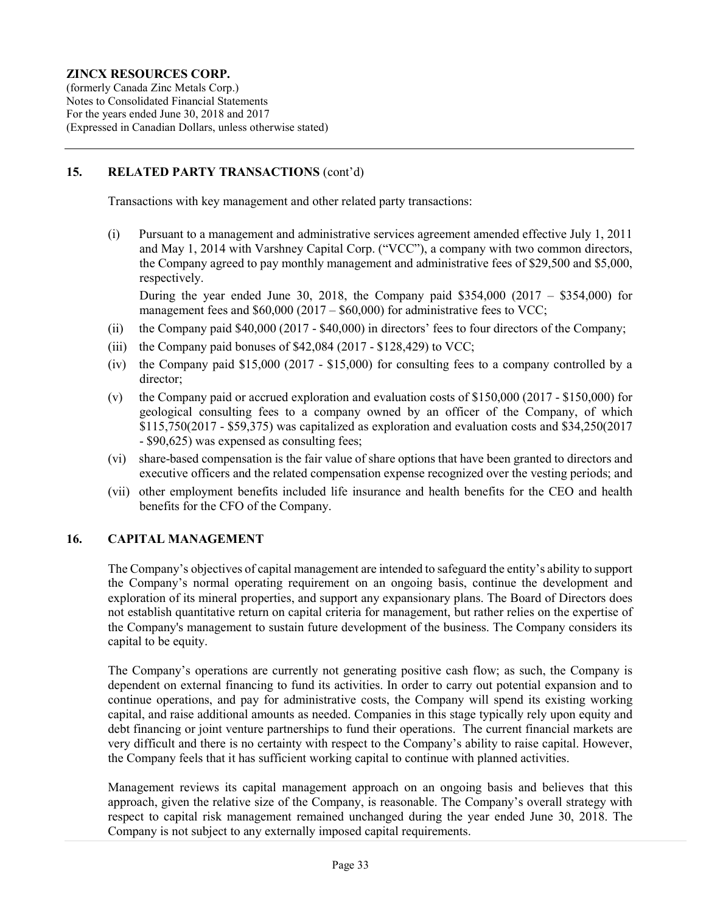(formerly Canada Zinc Metals Corp.) Notes to Consolidated Financial Statements For the years ended June 30, 2018 and 2017 (Expressed in Canadian Dollars, unless otherwise stated)

#### 15. RELATED PARTY TRANSACTIONS (cont'd)

Transactions with key management and other related party transactions:

(i) Pursuant to a management and administrative services agreement amended effective July 1, 2011 and May 1, 2014 with Varshney Capital Corp. ("VCC"), a company with two common directors, the Company agreed to pay monthly management and administrative fees of \$29,500 and \$5,000, respectively.

During the year ended June 30, 2018, the Company paid  $$354,000$  (2017 –  $$354,000$ ) for management fees and  $$60,000 (2017 - $60,000)$  for administrative fees to VCC;

- (ii) the Company paid \$40,000 (2017 \$40,000) in directors' fees to four directors of the Company;
- (iii) the Company paid bonuses of  $$42,084$  (2017  $$128,429$ ) to VCC;
- (iv) the Company paid \$15,000 (2017 \$15,000) for consulting fees to a company controlled by a director;
- (v) the Company paid or accrued exploration and evaluation costs of \$150,000 (2017 \$150,000) for geological consulting fees to a company owned by an officer of the Company, of which \$115,750(2017 - \$59,375) was capitalized as exploration and evaluation costs and \$34,250(2017 - \$90,625) was expensed as consulting fees;
- (vi) share-based compensation is the fair value of share options that have been granted to directors and executive officers and the related compensation expense recognized over the vesting periods; and
- (vii) other employment benefits included life insurance and health benefits for the CEO and health benefits for the CFO of the Company.

#### 16. CAPITAL MANAGEMENT

The Company's objectives of capital management are intended to safeguard the entity's ability to support the Company's normal operating requirement on an ongoing basis, continue the development and exploration of its mineral properties, and support any expansionary plans. The Board of Directors does not establish quantitative return on capital criteria for management, but rather relies on the expertise of the Company's management to sustain future development of the business. The Company considers its capital to be equity.

The Company's operations are currently not generating positive cash flow; as such, the Company is dependent on external financing to fund its activities. In order to carry out potential expansion and to continue operations, and pay for administrative costs, the Company will spend its existing working capital, and raise additional amounts as needed. Companies in this stage typically rely upon equity and debt financing or joint venture partnerships to fund their operations. The current financial markets are very difficult and there is no certainty with respect to the Company's ability to raise capital. However, the Company feels that it has sufficient working capital to continue with planned activities.

Management reviews its capital management approach on an ongoing basis and believes that this approach, given the relative size of the Company, is reasonable. The Company's overall strategy with respect to capital risk management remained unchanged during the year ended June 30, 2018. The Company is not subject to any externally imposed capital requirements.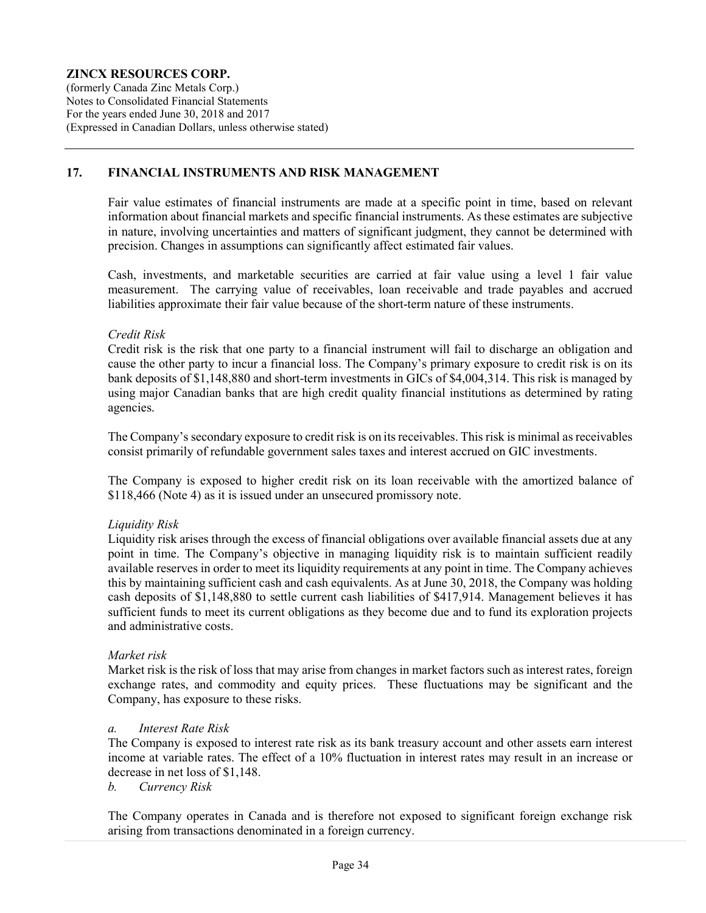(formerly Canada Zinc Metals Corp.) Notes to Consolidated Financial Statements For the years ended June 30, 2018 and 2017 (Expressed in Canadian Dollars, unless otherwise stated)

## 17. FINANCIAL INSTRUMENTS AND RISK MANAGEMENT

Fair value estimates of financial instruments are made at a specific point in time, based on relevant information about financial markets and specific financial instruments. As these estimates are subjective in nature, involving uncertainties and matters of significant judgment, they cannot be determined with precision. Changes in assumptions can significantly affect estimated fair values.

Cash, investments, and marketable securities are carried at fair value using a level 1 fair value measurement. The carrying value of receivables, loan receivable and trade payables and accrued liabilities approximate their fair value because of the short-term nature of these instruments.

#### Credit Risk

Credit risk is the risk that one party to a financial instrument will fail to discharge an obligation and cause the other party to incur a financial loss. The Company's primary exposure to credit risk is on its bank deposits of \$1,148,880 and short-term investments in GICs of \$4,004,314. This risk is managed by using major Canadian banks that are high credit quality financial institutions as determined by rating agencies.

The Company's secondary exposure to credit risk is on its receivables. This risk is minimal as receivables consist primarily of refundable government sales taxes and interest accrued on GIC investments.

The Company is exposed to higher credit risk on its loan receivable with the amortized balance of \$118,466 (Note 4) as it is issued under an unsecured promissory note.

#### Liquidity Risk

Liquidity risk arises through the excess of financial obligations over available financial assets due at any point in time. The Company's objective in managing liquidity risk is to maintain sufficient readily available reserves in order to meet its liquidity requirements at any point in time. The Company achieves this by maintaining sufficient cash and cash equivalents. As at June 30, 2018, the Company was holding cash deposits of \$1,148,880 to settle current cash liabilities of \$417,914. Management believes it has sufficient funds to meet its current obligations as they become due and to fund its exploration projects and administrative costs.

#### Market risk

Market risk is the risk of loss that may arise from changes in market factors such as interest rates, foreign exchange rates, and commodity and equity prices. These fluctuations may be significant and the Company, has exposure to these risks.

#### a. Interest Rate Risk

The Company is exposed to interest rate risk as its bank treasury account and other assets earn interest income at variable rates. The effect of a 10% fluctuation in interest rates may result in an increase or decrease in net loss of \$1,148.

b. Currency Risk

The Company operates in Canada and is therefore not exposed to significant foreign exchange risk arising from transactions denominated in a foreign currency.